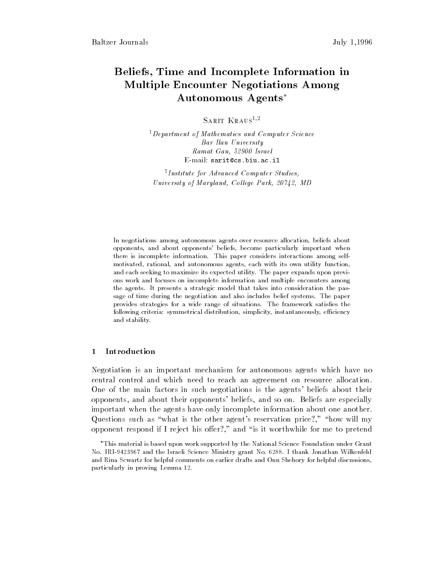# Beliefs, Time and Incomplete Information in Multiple Encounter Negotiations Among Autonomous Agents

SARIT KRAUS<sup>1,2</sup>

Department of Mathematics and Computer Science Bar Ilan University Ramat Gan - Israel

- Institute for Advanced Computer Studies University of Maryland, College Park,  $20742$ , MD

In negotiations among autonomous agents over resource allocation, beliefs about opponents, and about opponents-whenever particularly important whenever  $\mathcal{L}_{\mathcal{A}}$ there is incomplete information This paper considers interactions among self motivated, rational, and autonomous agents, each with its own utility function, and each seeking to maximize its expected utility. The paper expands upon previous work and focuses on incomplete information and multiple encounters among the agents It presents a strategic model that takes into consideration the pas sage of time during the negotiation and also includes belief systems. The paper provides strategies for a wide range of situations. The framework satisfies the following criteria: symmetrical distribution, simplicity, instantaneously, efficiency and stability

#### Introduction

Negotiation is an important mechanism for autonomous agents which have no central control and which need to reach an agreement on resource allocation One of the main factors in such negotiations is the agents' beliefs about their opponents- and about their opponents beliefs- and so on Beliefs are especially important when the agents have only incomplete information about one another Questions such as what is the other agents reservation price- how will my opponent respond if I reject his o er- and is it worthwhile for me to pretend

This material is based upon work supported by the National Science Foundation under Grant no IRI israeli Science Ministry grant No. In the Israeli Science Ministry grant No IRI is thank Jonathan Wilke and Rina Scwartz for helpful comments on earlier drafts and Onn Shehory for helpful discussions particularly in proving Lemma , we have  $\mathbf{L}$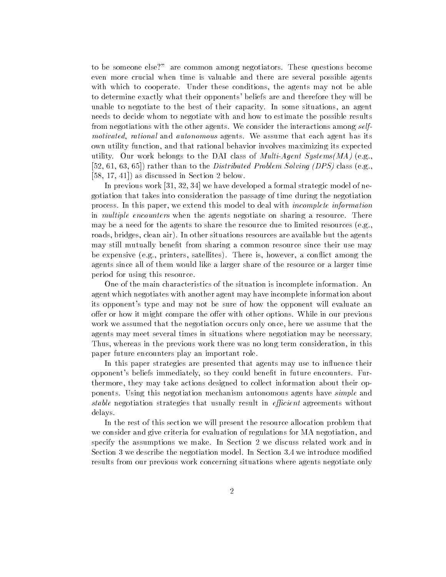to be someone else?" are common among negotiators. These questions become even more crucial when time is valuable and there are several possible agents with which to cooperate Under these conditions, the agents may not be able to determine exactly what their opponents' beliefs are and therefore they will be unable to negotiate to the best of their capacity In some situations- an agent needs to decide whom to negotiate with and how to estimate the possible results from negotiations with the other agents. We consider the interactions among *self*motivated- rational and autonomous agents We assume that each agent has its own utility function- and that ration-involves maximizing its expected in the contract of the contract of the utility of the process of the DAI class of MultiPagent Systems- Systems- Systems- process process of  $\mathcal{A}$ 
- - - 
 rather than to the Distributed Problem Solving -DPS class eg-
- - as discussed in Section below

In previous work - - we have developed a formal strategic model of ne gotiation that takes into consideration the passage of time during the negotiation process in this paper- we extend this model to deal with interesting the strip in  $\mathcal{L}_{\mathcal{A}}$ in *multiple encounters* when the agents negotiate on sharing a resource. There may be a need for the agents to share the resource due to limited resources (e.g., roads- clean air In other situations resources and an other situations are a variable but the agents of the ag may still mutually benefit from sharing a common resource since their use may be expensive eg- printers- satellites There is- however- a conict among the agents since all of them would like a larger share of the resource or a larger time period for using this resource

One of the main characteristics of the situation is incomplete information An agent which negotiates with another agent may have incomplete information about its opponent's type and may not be sure of how the opponent will evaluate an o er or how it might compare the o er with other options While in our previous work we assume that the negotiation occurs only one-of-meter we assume that the th agents may meet several times in situations where negotiation may be necessary Thus- whereas in the previous work there was no long term consideration- in this paper future encounters play an important role

In this paper strategies are presented that agents may use to influence their opponents beliefs immediately- so they could benet in future encounters Fur thermore- they may take actions designed to collect information about their op ponents. Using this negotiation mechanism autonomous agents have *simple* and stable negotiation strategies that usually result in *efficient* agreements without delays

In the rest of this section we will present the resource allocation problem that we consider and give criteria for evaluation of regulations for MA negotiation- and specify the assumptions we make. In Section 2 we discuss related work and in Section 3 we describe the negotiation model. In Section 3.4 we introduce modified results from our previous work concerning situations where agents negotiate only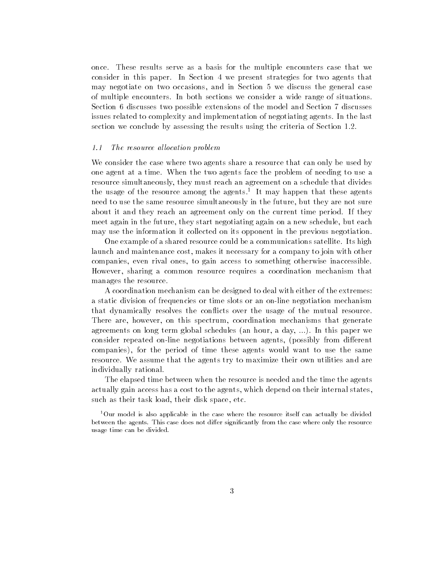once These results serve as a basis for the multiple encounters case that we consider in this paper. In Section 4 we present strategies for two agents that may negotiate on two occasions that in Section the sections that general case the g of multiple encounters In both sections we consider a wide range of situations Section 6 discusses two possible extensions of the model and Section 7 discusses issues related to complexity and implementation of negotiating agents. In the last section we conclude by assessing the results using the criteria of Section 1.2.

#### 1.1 The resource allocation problem

We consider the case where two agents share a resource that can only be used by one agent at a time. When the two agents face the problem of needing to use a resource simultaneously- they must reach an agreement on a schedule that divides the usage of the resource among the agents. It may happen that these agents need to use the same resource simultaneously in the future- but they are not sure about it and they reach an agreement only on the current time period. If they meet again in the future- they start negotiating again on a new schedule- but each may use the information it collected on its opponent in the previous negotiation

One example of a shared resource could be a communications satellite. Its high launch and maintenance cost- makes it necessary for a company to join with other companies- even rival ones- to gain access to something otherwise inaccessible However- sharing a common resource requires a coordination mechanism that manages the resource

A coordination mechanism can be designed to deal with either of the extremes a static division of frequencies or time slots or an on-line negotiation mechanism that dynamically resolves the conflicts over the usage of the mutual resource. There are- however- on this spectrum- coordination mechanisms that generate agreements on reng term greater and this paper we have a day of the schedule paper we consider repeated online negotiations between agents- possibly from di erent companies- for the period of time the period of time the same to use the same to use the same to use the same t resource We assume that the agents try to maximize their own utilities and are individually rational

The elapsed time between when the resource is needed and the time the agents actually gains-depend on the access to the agents, which depends on the cost theory. such as the interest load-task load-task load-task load-task load-task load-task load-task load-task load-task

 $1$ Our model is also applicable in the case where the resource itself can actually be divided between the agents. This case does not differ significantly from the case where only the resource usage time can be divided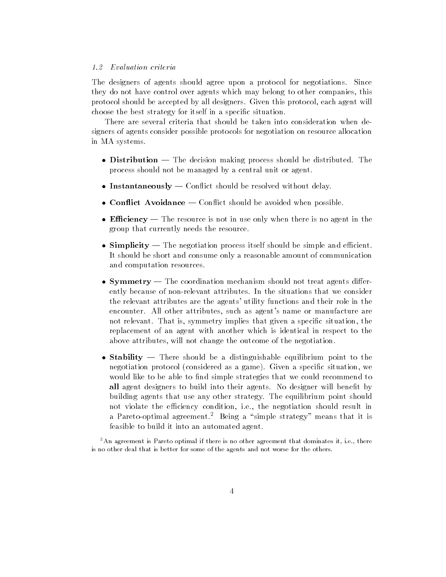# Evaluation criteria

The designers of agents should agree upon a protocol for negotiations Since they do not have control over agents which may belong to other companies- this protocol should be accepted by all designers Given this protocol- each agent will choose the best strategy for itself in a specific situation.

There are several criteria that should be taken into consideration when de signers of agents consider possible protocols for negotiation on resource allocation in MA systems

- $\mathcal{L}$  decision making process showledge that distributed  $\mathcal{L}$  decision making process showledge the distribution  $\mathcal{L}$ process should not be managed by a central unit or agent
- Instantaneously Conict should be resolved without delay
- ict Avoidance Conict should be a control of the avoided when possible should be avoided when possible should b
- $\blacksquare$  . The resource is not in the resource is not in the interest in the interest in the interest in the interest group that currently needs the resource
- Simplicity The negotiation process itself should be simple and ecient It should be short and consume only a reasonable amount of communication and computation resources
- Symmetry The coordination mechanism should not treat agents di er ently because of non-relevant attributes. In the situations that we consider the relevant attributes are the agents' utility functions and their role in the encounter All other attributes- such as agents name or manufacture are not relevant that is a specific that is a specific situation of the specific situations in the specific situation replacement of an agent with another which is identical in respect to the above attributes- will not change the outcome of the negotiation of the negotiation of the negotiation of the negotiation of the negotiation of the negotiation of the negotiation of the negotiation of the negotiation of t
- Stability There should be a distinguishable equilibrium point to the negotiation protocol considered as a game Given a specic situation- we would like to be able to find simple strategies that we could recommend to all agent designers to build into their agents. No designer will benefit by building agents that use any other strategy. The equilibrium point should not violate the eciency condition- ie- the negotiation should result in a Pareto-optimal agreement. Being a simple strategy means that it is feasible to build it into an automated agent

-An agreement is Pareto optimal if there is no other agreement that dominates it, i.e., there  $\,$ is no other deal that is better for some of the agents and not worse for the others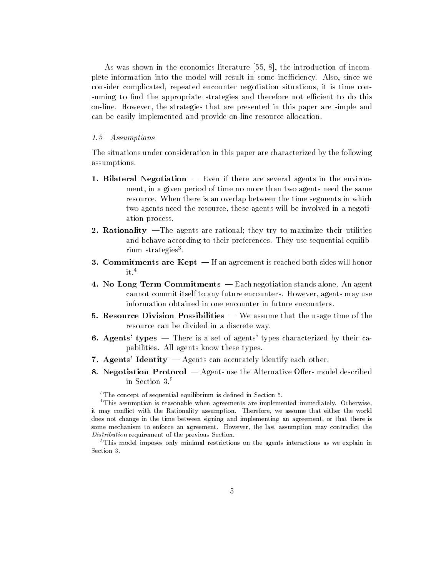$A \subset \mathbb{R}^n$  was shown in the introduction of income  $A \subset \mathbb{R}^n$  . The income of income of income of income plete information into the model will result in some into the model will result in a some in some in the second consider complicated- repeated encounter negotiation situations- it is time con suming to find the appropriate strategies and therefore not efficient to do this online However- the strategies that are presented in this paper are simple and can be easily implemented and provide on-line resource allocation.

#### 1.3 Assumptions

The situations under consideration in this paper are characterized by the following assumptions

- 1. Bilateral Negotiation  $-$  Even if there are several agents in the environment- in a given period of time no more than two agents need the same resource When there is an overlap between the time segments in which two agents need the resource-these agents will be involved in a negotial control ation process
- **2. Rationality** —The agents are rational; they try to maximize their utilities and behave according to their preferences. They use sequential equilibrium strategies<sup>3</sup>.
- **3. Commitments are Kept**  $\overline{\phantom{a}}$  If an agreement is reached both sides will honor it  $4$
- 4. No Long Term Commitments Each negotiation stands alone. An agent cannot committed to any future encounters however that  $\alpha$ information obtained in one encounter in future encounters
- **5. Resource Division Possibilities**  $\sim$  We assume that the usage time of the resource can be divided in a discrete way
- Agents types There is a set of agents types characterized by their ca pabilities All agents know these types
- Agents Identity Agents can accurately identify each other
- Negotiation Protocol Agents use the Alternative O ers model described in Section 3.<sup>5</sup>

 $3$ The concept of sequential equilibrium is defined in Section 5.

<sup>4</sup>This assumption is reasonable when agreements are implemented immediately. Otherwise, it may conflict with the Rationality assumption. Therefore, we assume that either the world does not change in the time between signing and implementing an agreement, or that there is some mechanism to enforce an agreement. However, the last assumption may contradict the Distribution requirement of the previous Section.

<sup>5</sup>This model imposes only minimal restrictions on the agents interactions as we explain in Section 3.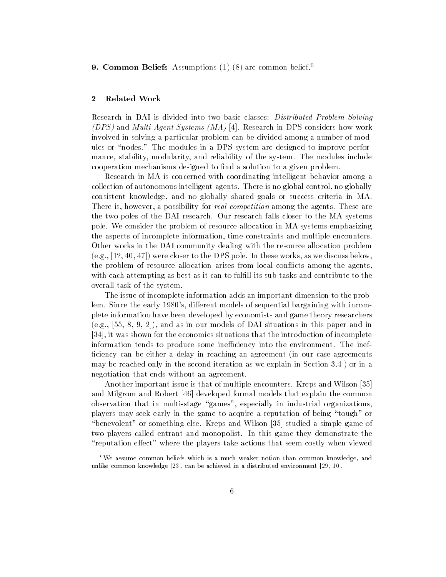# **9. Common Beliefs** Assumptions  $(1)-(8)$  are common belief.<sup>6</sup>

#### 2 Related Work

Research in DAI is divided into two basic classes: *Distributed Problem Solving* , a complete section of the section of the section of the constant of the section of the constant of the const involved in solving a particular problem can be divided among a number of mod ules or "nodes." The modules in a DPS system are designed to improve performance, stability, modularity, modules includes, in the system The modules includes  $\sim$ cooperation mechanisms designed to find a solution to a given problem.

Research in MA is concerned with coordinating intelligent behavior among a collection of automous intelligent agents There is no global control, in globally consistent knowledge- and no globally shared goals or success criteria in MA There is- however- a possibility for real competition among the agents These are the two poles of the DAI research Our research falls closer to the MA systems pole We consider the problem of resource allocation in MA systems emphasizing the aspects of incomplete information- time constraints and multiple encounters Other works in the DAI community dealing with the resource allocation problem  $\mathbf{v}$  as we discuss below-defined by the DPS pole in the DPS pole in the DPS pole in the DPS pole in the DPS pole in the DPS pole in the DPS pole in the DPS pole in the DPS pole in the DPS pole in the DPS pole in the D the problem of resource allocation arises from local conflicts among the agents. with each attempting as best as it can to fulfill its sub-tasks and contribute to the overall task of the system

The issue of incomplete information adds an important dimension to the prob lem Since the early state of models of seatch models of sequential bargaining with income plete information have been developed by economists and game theory researchers ege-tegen and as in our models of DAI situations in the contract of DAI situations in the contract of DAI situations in the contract of DAI situations in the contract of DAI situations in the contract of DAI situations in - it was shown for the economics situations that the introduction of incomplete information tends to produce some inefficiency into the environment. The inefficiency can be either a delay in reaching an agreement (in our case agreements may be reached only in the second iteration as we explain in Section  $3.4$ ) or in a negotiation that ends without an agreement

Another important issue is that of multiple encounters. Kreps and Wilson [35] and Milgrom and Robert [46] developed formal models that explain the common observation that in multistage games  $\mathbf{f}$  in industrial organizations-industrial organizations-industrial organizations-industrial organizations-industrial organizations-industrial organizations-industrial organizatio players may seek early in the game to acquire a reputation of being "tough" or "benevolent" or something else. Kreps and Wilson [35] studied a simple game of two players called entrant and monopolist In this game they demonstrate the reputation extensive take actions take actions take actions that seem costly when viewed actions that seem cos

 ${}^{6}$ We assume common beliefs which is a much weaker notion than common knowledge, and unlike common knowledge achieved in a distributed in a distributed in a distributed in a distributed environmen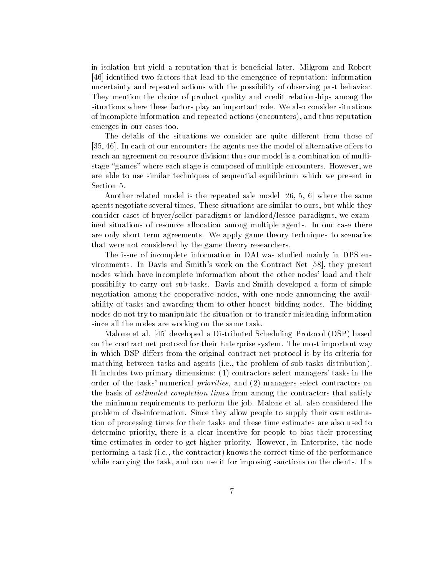in isolation but yield a reputation that is beneficial later. Milgrom and Robert [46] identified two factors that lead to the emergence of reputation: information uncertainty and repeated actions with the possibility of observing past behavior They mention the choice of product quality and credit relationships among the situations where these factors play an important role. We also consider situations of information and the interest information and representations encounters-thus reputations entry interesting emerges in our cases too

The details of the situations we consider are quite di erent from those of 
- In each of our encounters the agents use the model of alternative o ers to reach an agreement on resource division; thus our model is a combination of multistage games where each stage is composed of multiple encounters However- we are able to use similar techniques of sequential equilibrium which we present in Section 5.

Another related model is the repeated sale model - 
- where the same agents negotiates several times times situations are situations are similarly to ours-to-oursconsider cases of buyerseller paradigms or landlordlessee paradigms- we exam ined situations of resource allocation among multiple agents In our case there are only short term agreements. We apply game theory techniques to scenarios that were not considered by the game theory researchers

The issue of incomplete information in DAI was studied mainly in DPS en vironments In Davis and Smiths work on the Contract Net Smiths work on the Contract Net Smiths work on the Contract Net Smiths work on the Contract Net Smiths work on the Contract Net Smiths work on the Contract Net Smiths nodes which have incomplete information about the other nodes' load and their possibility to carry out sub-tasks. Davis and Smith developed a form of simple negotiation among the cooperative nodes- with one node announcing the avail ability of tasks and awarding them to other honest bidding nodes. The bidding nodes do not try to manipulate the situation or to transfer misleading information since all the nodes are working on the same task

Malone et al. [45] developed a Distributed Scheduling Protocol (DSP) based on the contract net protocol for their Enterprise system. The most important way in which DSP di ers from the original contract net protocol is by its criteria for matching between tasks and agents ie- the problem of subtasks distribution It includes two primary dimensions:  $(1)$  contractors select managers' tasks in the order of the tasks numerical priorities- and managers select contractors on the basis of estimated completion times from among the contractors that satisfy the minimum requirements to perform the job. Malone et al. also considered the problem of dis-information. Since they allow people to supply their own estimation of processing times for their tasks and these time estimates are also used to determine priority-type for people to bias the people to bias the people to bias the people to bias the people time estimates in order to get higher priority However- in Enterprise- the node performing a their free, the contractor formal time of the correct time performance. while carrying the task-part can use it for its form on the can use the contract in the contract  $\alpha$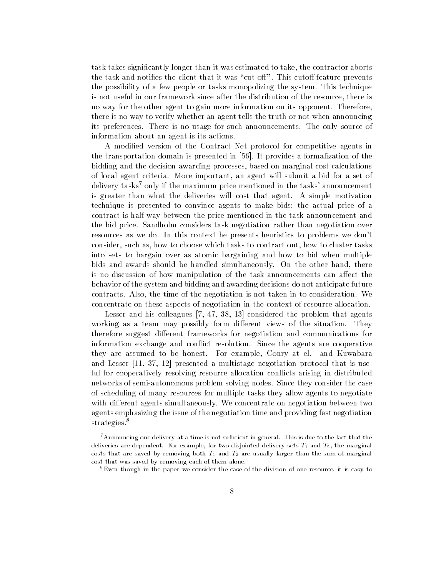task takes signicantly longer than it was estimated to take- the contractor aborts the this communication that interest that it was cutoff that it was cutoff that it prevents the communication the possibility of a few people or tasks monopolizing the system This technique is not useful in our framework since after the distribution of the resource- there is no way for the other agent to gain more information on its opponent. Therefore, there is no way to verify whether an agent tells the truth or not when announcing its preferences. There is no usage for such announcements. The only source of information about an agent is its actions

A modified version of the Contract Net protocol for competitive agents in the transportation domain is presented in [56]. It provides a formalization of the bidding and the decision awarding processes- based on marginal cost calculations of the local agents with the set of the politicians, with a set of a set of a set of a set of a set of a set o delivery tasks<sup>7</sup> only if the maximum price mentioned in the tasks' announcement is greater than what the deliveries will cost that agent. A simple motivation technique is presented to convince agents to make bids; the actual price of a contract is half way between the price mentioned in the task announcement and the bid price Sandholm considers task negotiation rather than negotiation over resources as we do. In this context he presents heuristics to problems we don't considered as a such as a such as a contract out-to contract out-to contract out-to-contract out-tointo sets to bargain over as atomic bargaining and how to bid when multiple bids and awards should be handled simultaneously On the other hand- there is no discussion of how manipulation of the task announcements can a ect the behavior of the system and bidding and awarding decisions do not anticipate future contracts also-time of the time of the negotiation is not the the second theorem is not to consideration were concentrate on these aspects of negotiation in the context of resource allocation

 $\mathbf{A}$  -defined the problem that agents  $\mathbf{A}$ working as a team may possibly form material lifeware the situation Theory (1990) therefore suggest di erent frameworks for negotiation and communications for information exchange and conflict resolution. Since the agents are cooperative they are assumed to be honest Formula assumed to be home  $\mathbb{R}$ and Lesser protocol the protocol that is used and the protocol that is used that is used that is used that is ful for cooperatively resolving resource allocation conflicts arising in distributed networks of semi-autonomous problem solving nodes. Since they consider the case of scheduling of many resources for multiple tasks they allow agents to negotiate with different agents simultaneously We concentrate on  $\mathcal{W}$ agents emphasizing the issue of the negotiation time and providing fast negotiation  $strategies.^8$ 

 $^7$ Announcing one delivery at a time is not sufficient in general. This is due to the fact that the deliveries are dependent. For example, for two disjointed delivery sets  $T_1$  and  $T_2$ , the marginal costs that are saved by removing both  $T_1$  and  $T_2$  are usually larger than the sum of marginal cost that was saved by removing each of them alone

Even though in the paper we consider the case of the division of one resource it is easy to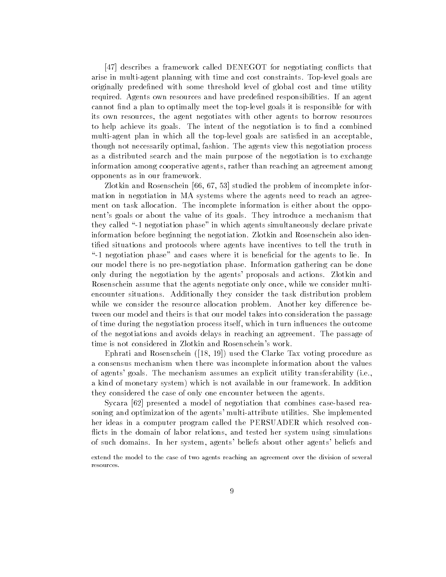[47] describes a framework called DENEGOT for negotiating conflicts that arise in multi-agent planning with time and cost constraints. Top-level goals are originally predefined with some threshold level of global cost and time utility required. Agents own resources and have predefined responsibilities. If an agent cannot find a plan to optimally meet the top-level goals it is responsible for with its own resources- the agent negotiates with other agents to borrow resources to help achieve its goals. The intent of the negotiation is to find a combined multi-agent plan in which all the top-level goals are satisfied in an acceptable. the system is the agents views of the agents view this negotiation processes the processes of the agents of th as a distributed search and the main purpose of the negotiation is to exchange information among cooperative agents- rather than reaching an agreement among opponents as in our framework

Zlotkin and Rosenschein - - 
 studied the problem of incomplete infor mation in negotiation in MA systems where the agents need to reach an agree ment on task allocation. The incomplete information is either about the opponent's goals or about the value of its goals. They introduce a mechanism that they called "-1 negotiation phase" in which agents simultaneously declare private information before beginning the negotiation Zlotkin and Rosenschein also iden tified situations and protocols where agents have incentives to tell the truth in "-1 negotiation phase" and cases where it is beneficial for the agents to lie. In our model there is no prenegotiation phase Information gathering can be done only during the negotiation by the agents' proposals and actions. Zlotkin and Rosenschein assume that the agents negotiate only once- while we consider multi encounter situations. Additionally they consider the task distribution problem while we consider the resource allocation problems from the all strategy distributions of tween our model and theirs is that our model takes into consideration the passage of time during the negotiation process itself-the outcome the outcome the outcome outcome. of the negotiations and avoids delays in reaching an agreement The passage of time is not considered in Zlotkin and Rosenschein's work.

Ephrati and Rosenschein - used the Clarke Tax voting procedure as a consensus mechanism when there was incomplete information about the values of agents' goals. The mechanism assumes an explicit utility transferability (i.e., a kind of monetary system) which is not available in our framework. In addition they considered the case of only one encounter between the agents

Sycara  $[62]$  presented a model of negotiation that combines case-based reasoning and optimization of the agents' multi-attribute utilities. She implemented her ideas in a computer program called the PERSUADER which resolved con icts in the domain of labor relations- and tested her system using simulations of such domains In her system- agents beliefs about other agents beliefs and

extend the model to the case of two agents reaching an agreement over the division of several resources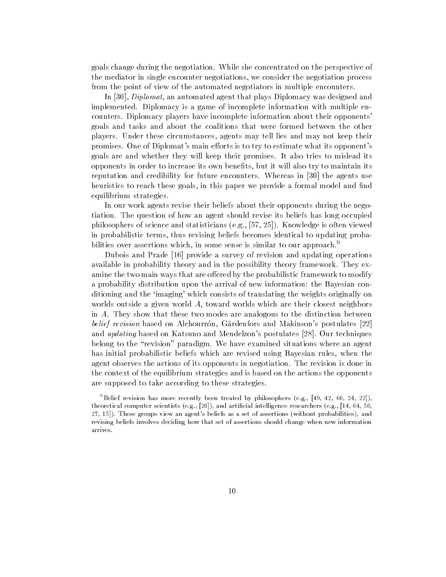goals change during the negotiation While she concentrated on the perspective of the mediator in single encounter negotiations- we consider the negotiation process from the point of view of the automated negotiators in multiple encounters

In - Diplomat- an automated agent that plays Diplomacy was designed and implemented. Diplomacy is a game of incomplete information with multiple encounters Diplomacy players have incomplete information about their opponents goals and tasks and about the coalitions that were formed between the other players Under these circumstances- agents may tell lies and may not keep their promises One of Diplomats main e orts is to try to estimate what its opponents goals are and whether they will keep their promises It also tries to mislead its opponents in order to increase its own benets- but it will also try to maintain its reputation and credibility for future encounters. Whereas in  $\left[30\right]$  the agents use heuristics to reach these goals- in this paper we provide a formal model and nd equilibrium strategies

In our work agents revise their beliefs about their opponents during the nego tiation The question of how an agent should revise its beliefs has long occupied  $\mathbf{r}$  is often viewed is often viewed is often viewed is often viewed in the statistician viewed in the statistician viewed in the statistical contract of the statistical contract of the statistical contract of the sta in probabilistic terms-parameter identical to update the continuation of the material probability of bilities over assertions which, in some sense is similar to our approach.

Dubois and Prade [16] provide a survey of revision and updating operations available in probability theory and in the possibility theory framework They ex amine the two mains ways that are only that are on the probabilities framework to modify the probabilities of a probability distribution upon the arrival of new information: the Bayesian conditioning and the imaging which consists of translating the weights originally on worlds outside a given world A- to which worlds which are their closest neighbors are the in  $A$ . They show that these two modes are analogous to the distinction between belief revision based on Alchourron- G ardenfors and Makinsons postulates  and updating based on Katsuno and Mendelzon's postulates [28]. Our techniques belong to the "revision" paradigm. We have examined situations where an agent has initial probabilistic beliefs which are revised using Bayesian rules- when the agent observes the actions of its opponents in negotiation The revision is done in the context of the equilibrium strategies and is based on the actions the opponents are supposed to take according to these strategies

"Belief revision has more recently been treated by philosophers (e.g., [49, 42, 60, 24, 22]), theoretical computer scientists eg and articial intelligence researchers eg  s beliefs as a set of as a set of as a set of as a set of assertions in the probabilities  $\mu$  and revising beliefs involves deciding how that set of assertions should change when new information arrives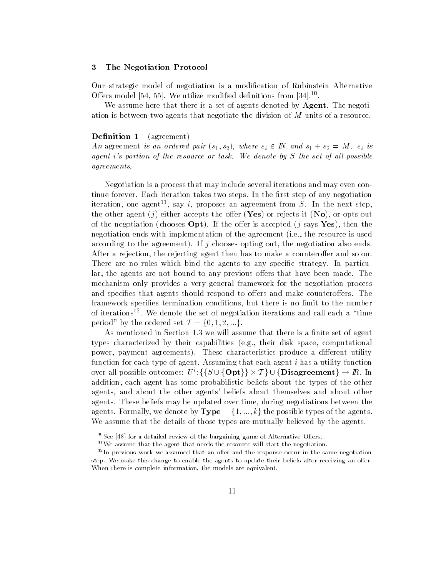# The Negotiation Protocol

Our strategic model of negotiation is a modication of Rubinstein Alternative Offers model  $[54, 55]$ . We utilize modified definitions from  $[54]$ .  $\ldots$ 

We assume here that there is a set of agents denoted by  $\bf{Agent}$ . The negotiation is between two agents that negotiate the division of  $M$  units of a resource.

#### **Definition 1** (agreement)

An agreement is an ordered pair  $(s_1, s_2)$ , where  $s_i \in \mathbb{N}$  and  $s_1 + s_2 = \mathbb{M}$ .  $s_i$  is agent i s portion of the resource or task We denote by S the set of al l possible agreements

Negotiation is a process that may include several iterations and may even con tinue forever. Each iteration takes two steps. In the first step of any negotiation rteration, one agent the say  $i$ , proposes an agreement from S. The the next step, the other agent j either accepts the o er Yes or rejects it No- or opts out of the negotiation can be negotiated in the order  $\alpha$  is accepted to  $\alpha$  is a second then the contract of  $\alpha$ negotiation ends with implementation of the agreement ie- the resource is used according to the agreement), he joint the party out, the negotiation also ends After a rejection- the rejecting agent then has to make a countero er and so on There are no rules which bind the agents to any specific strategy. In particular- the agents are not bound to any previous o ers that have been made The mechanism only provides a very general framework for the negotiation process and species that agents shown for point to outline that is shown to and the shown of the counterof framework species termination conditions- but there is no limit to the number of iterations- We denote the set of negotiation iterations and call each a time period" by the ordered set  $\mathcal{T} = \{0, 1, 2, ...\}$ .

As mentioned in Section  $1.3$  we will assume that there is a finite set of agent types characterized by their capabilities eg- their disk space- computational power- payment agreements These characteristics produce a di erent utility function for each type of agent. Assuming that each agent  $i$  has a utility function over all possible outcomes:  $U^i$ : {{ $S \cup \{Opt\}$ }  $\times T$ }  $\cup$  {Disagreement}  $\rightarrow \mathbb{R}$ . In addition-beliefs and the other probabilities about the types of the other probabilities about the other probabi agents, die other album about the other about the other about the about the about  $\sim$ agents These beliefs may be updated over time- during negotiations between the agents. Formally, we denote by  $\textbf{Type} = \{1, ..., k\}$  the possible types of the agents. We assume that the details of those types are mutually believed by the agents.

 $\lceil$  See  $\lceil$ 48] for a detailed review of the bargaining game of Alternative Offers.

 $11$  We assume that the agent that needs the resource will start the negotiation.

<sup>--</sup>In previous work we assumed that an offer and the response occur in the same negotiation step. We make this change to enable the agents to update their beliefs after receiving an offer. When there is complete information, the models are equivalent.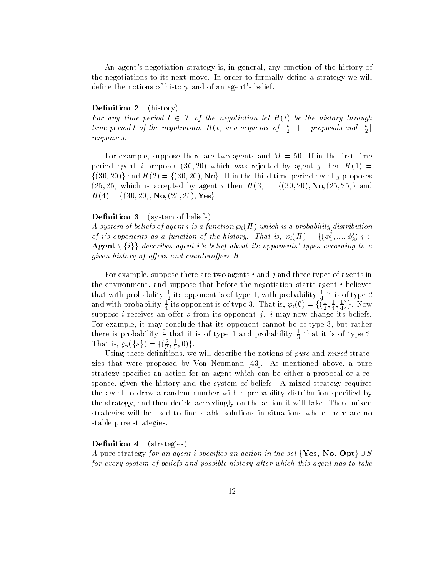An agents negotiation strategy is- in general- any function of the history of the negotiations to its next move. In order to formally define a strategy we will define the notions of history and of an agent's belief.

# **Definition 2** (history)

For any time period  $t \in \mathcal{T}$  of the negotiation let  $H(t)$  be the history through time period t of the negotiation. H(t) is a sequence of  $\lfloor \frac{t}{2} \rfloor + 1$  proposals and  $\lfloor \frac{t}{2} \rfloor$ -responses

For example- suppose there are two agents and M " 
 If in the rst time period agent *i* proposes (30,20) which was rejected by agent *j* then  $H(1)$  =  $\{(30,20)\}\$  and  $H(2) = \{(30,20),\mathbf{No}\}\$ . If in the third time period agent j proposes  $(25, 25)$  which is accepted by agent i then  $H(3) = \{(30, 20), \textbf{No}, (25, 25)\}\)$  and  $H(4) = \{(30, 20), \mathbf{No}, (25, 25), \mathbf{Yes}\}.$ 

# **Definition 3** (system of beliefs)

A system of beliefs of agent i is a function  $\mathcal{P}_i(H)$  which is a probability distribution of i's opponents as a function of the history. That is,  $\varphi_i(H) = \{(\phi_1^j, ..., \phi_k^j)|j \in$ A system of beliefs of agent i is a<br>of i's opponents as a function  $\alpha$ <br> $\mathbf{Agent} \setminus \{i\}$  describes agent i' s tells, we the components opportunity to a compo given history of offers and counteroffers  $H$ .

For example- suppose there are two agents i and j and three types of agents in the environment- and suppose that before the negotiation starts agent i believes that with probability  $\frac{1}{2}$  its opponent is of type 1, with probability  $\frac{1}{4}$  it is of type 2 and with probability  $\frac{1}{4}$  its opponent is of type 3. That is,  $\wp_i(\emptyset) = \{(\frac{1}{2}, \frac{1}{4}$  $\frac{1}{2}, \frac{1}{4}, \frac{1}{4}$ }. Now suppose i receives an o er s from its opponent j i may now change its beliefs For example- it may conclude that its opponent cannot be of type - but rather there is probability  $\frac{1}{3}$  that it is of type 1 and probability  $\frac{1}{3}$  that it is of type 2. That is,  $\varphi_i({s}) = {(\frac{2}{3}, \frac{1}{3}, 0)}.$ 

Using these describes the notions of the notions of pure and mixed strategy and mixed strategy and mixed strategy gies that were proposed by Von Neumann  As mentioned above- a pure strategy specifies an action for an agent which can be either a proposal or a response- given the history and the system of beliefs A mixed strategy requires the agent to draw a random number with a probability distribution specified by the strategy- and then decide accordingly on the action it will take These mixed strategies will be used to find stable solutions in situations where there are no stable pure strategies

**Definition 4** (strategies)

A pure strategy for an agent i specifies an action in the set  $\{Yes, No, Opt\} \cup S$ for every system of beliefs and possible history after which this agent has to take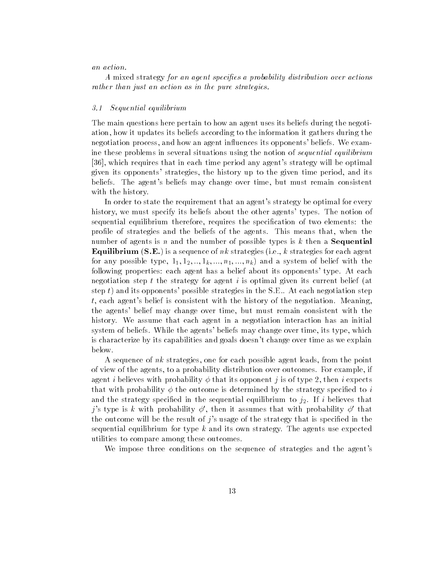an action

A mixed strategy for an agent specifies a probability distribution over actions rather than just an action as in the pure strategies.

# Sequential equilibrium

The main questions here pertain to how an agent uses its beliefs during the negoti ation- how it updates its beliefs according to the information it gathers during the negotiation process- and how an agent inuences its opponents beliefs We exam ine these problems in several situations using the notion of sequential equilibrium - which requires that in each time period any agents strategy will be optimal given its opponents strategies- the history up to the given time period- and its beliefs The agents beliefs may change over time- but must remain consistent with the history.

In order to state the requirement that an agent's strategy be optimal for every history- we must specify its beliefs about the other agents types The notion of sequential equilibrium therefore- requires the specication of two elements the prole of strategies and the beliefs of the agents This means that- when the number of agents is n and the number of possible types is k then a **Sequential** Equilibrium SE is a sequence of nk strategies ie- k strategies for each agent for any possible type- - -- k --- n --- nk and a system of belief with the following properties: each agent has a belief about its opponents' type. At each negotiation step t the strategy for agent i is optimal given its current belief (at step t) and its opponents' possible strategies in the S.E.. At each negotiation step t- each agents belief is consistent with the history of the negotiation Meaningthe agents belief may change over time-dimensional consistent with the state  $\mathbf{u}$ history. We assume that each agent in a negotiation interaction has an initial system of beliefs while the agents beliefs may change over time-place  $\eta$  pay change is characterize by its capabilities and goals doesn't change over time as we explain below.

A sequence of nk strategies- one for each possible agent leads- from the point of the contract agents-in the probability distribution over a contract with a contract  $\mathcal{L}$ agent is believes with probability in the intervent just in the intervent just opponent in the type - then is o that with probability  $\phi$  the outcome is determined by the strategy specified to i and the strategy species in the sequential equilibrium to  $\mathcal{A}$  in the sequential equilibrium to  $\mathcal{A}$  in the sequential equilibrium to  $\mathcal{A}$  in the sequential equilibrium to  $\mathcal{A}$  in the sequence of the seque  $\eta$  s type is  $\kappa$  with probability  $\varphi$  , then it assumes that with probability  $\varphi$  that the outcome will be the result of  $j$ 's usage of the strategy that is specified in the sequential equilibrium for type k and its own strategy. The agents use expected utilities to compare among these outcomes

We impose three conditions on the sequence of strategies and the agent's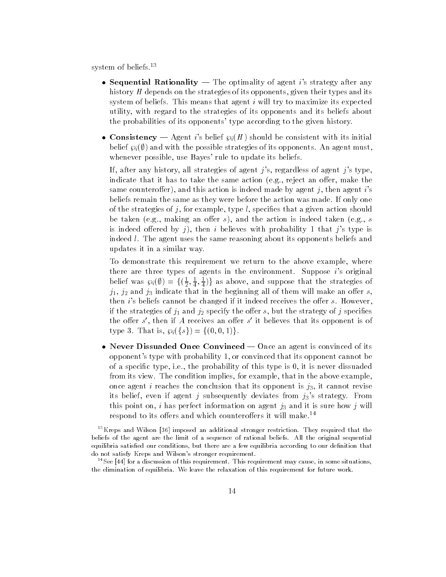system of beliefs.<sup>13</sup>

- Sequential Rationality The optimality of agent is strategy after any history H depends on the strategies of its opponents- given their types and its system of beliefs. This means that agent  $i$  will try to maximize its expected  $\mathcal{U}$ utility-strategies of its opponents and its beliefs about  $\mathcal{U}$  is beliefs about  $\mathcal{U}$ the probabilities of its opponents' type according to the given history.
- $\mathcal{C}$  consistent is belief if its initial behind its initial behind its initial behind its initial behind its initial behind its initial behind its initial behind its initial behind its initial behind its initial behin belief  $\varphi_i(\emptyset)$  and with the possible strategies of its opponents. An agent must. whenever possible-to-the-to-the-to-the-to-the-to-the-to-the-to-the-to-the-to-the-to-the-to-the-to-the-to-the-to-

If- after any history- all strategies of agent js- regardless of agent js typeindicate that it has to take the same action equal report and showly have the same  $\mathcal{C}$ same counter and this action is independent to the action is independent in the agent is independent in the same counter of the same counter of the same counter of the same counter of the same counter of the same counter o beliefs remain the same as they were before the action was made If only one of the strategies of jers controlled by projecting that a given an action showledge of be taken en over see s-and taken eg- s-and taken eg- s-and taken eg- s-and taken eg- s-and taken eg- s-and taken egis indeed o ered by j- then i believes with probability that js type is indeed  $l$ . The agent uses the same reasoning about its opponents beliefs and updates it in a similar way

To demonstrate this requirement we return to the above example- where there are three types of agents in the environment. Suppose  $i$ 's original belief was  $\varphi_i(\emptyset) = \{(\frac{1}{2}, \frac{1}{4})\}$  $(\frac{1}{2}, \frac{1}{4}, \frac{1}{4})$  as above, and suppose that the strategies of j- j- and j indicate that in the beginning all of them will make an o er sthen is beliefs cannot be changed if it indeed receives the o er s Howeverif the strategies of the strategies of  $j$  and  $j$  is the strategy of  $j$  species of  $j$  species of  $j$  species of  $j$  species of  $j$  species of  $j$  species of  $j$  species of  $j$  species of  $j$  species of  $j$  species of the oner s, then if A receives an oner s it believes that its opponent is of type 3. That is,  $\wp_i({s}) = {(0,0,1)}.$ 

 $N_{\rm eff}$  Dissued Once  $N_{\rm eff}$  is convinced of its convinced of its convinced of its convinced of its convinced of its convinced of its convinced of its convinced of its convinced of its convinced of its convinced of its opponents type with probability - or convinced that its opponent cannot be of a species type, it is a probability of this type is type is a species of the substantial contracts. from its view The condition implies- for example- that in the above exampleonce agent is interesting in reaches that it can not conclusion that it can not conclusion that it can not conclusion that it can not conclusion that it can not conclusion that it can not conclusion that it can not conclu its belief-the contract if a gently deviately deviates from just subsequently from  $\alpha$ this point on, this perfect information on agent journalist in the sure of  $j$ respond to its offers and which counterollers it will make. The

 $13$ Kreps and Wilson [36] imposed an additional stronger restriction. They required that the beliefs of the agent are the limit of a sequence of rational beliefs All the original sequential equilibria satisfied our conditions, but there are a few equilibria according to our definition that do not satisfy Kreps and Wilson-s stronger requirement

 $14$ See [44] for a discussion of this requirement. This requirement may cause, in some situations, the elimination of equilibria We leave the relaxation of this requirement for future work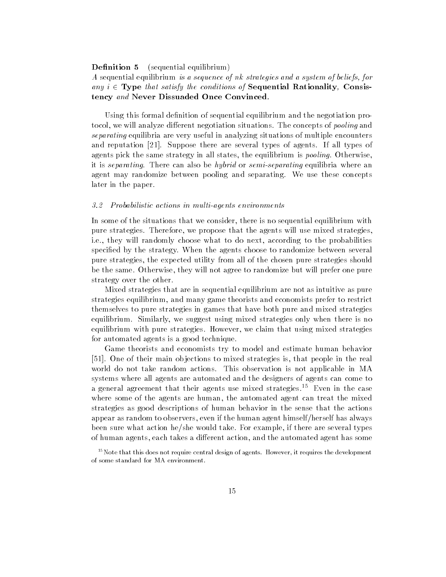# **Definition 5** (sequential equilibrium)

# A sequential equilibrium is a sequence of nk strategies and a system of beliefs, for any  $i \in$  Type that satisfy the conditions of Sequential Rationality. Consistency and Never Dissuaded Once Convinced.

Using this formal definition of sequential equilibrium and the negotiation proto the will also distinct the concepts of the concepts of the concepts of pools and pooling and the concepts of separating equilibria are very useful in analyzing situations of multiple encounters and reputation [21]. Suppose there are several types of agents. If all types of agents pick the strategy in all states-strategy in all states-sections of  $\mu$  , all states of  $\mu$ it is *separating*. There can also be *hybrid* or *semi-separating* equilibria where an agent may randomize between pooling and separating. We use these concepts later in the paper

#### 3.2 Probabilistic actions in multi-agents environments

In some of the situations that we consider- there is no sequential equilibrium with pure strategies Therefore- we propose that the agents will use mixed strategiesie- they will randomly choose what to do next- according to the probabilities specified by the strategy. When the agents choose to randomize between several pure strategies- the expected utility from all of the chosen pure strategies should be the same Otherwise- they will not agree to randomize but will prefer one pure strategy over the other

Mixed strategies that are in sequential equilibrium are not as intuitive as pure strategies equilibrium- and many game theorists and economists prefer to restrict themselves to pure strategies in games that have both pure and mixed strategies equilibrium Similarly-strategies mixed strategies only when the strategies on the strategies on the strategies equilibrium with pure strategies However- we claim that using mixed strategies for automated agents is a good technique

Game theorists and economists try to model and estimate human behavior 
 One of their main ob jections to mixed strategies is- that people in the real world do not take random actions. This observation is not applicable in MA systems where all agents are automated and the designers of agents can come to a general agreement that their agents use mixed strategies.<sup>15</sup> Even in the case where some of the agents are human-the sourcements agent can treat the mixed the mixed strategies as good descriptions of human behavior in the sense that the actions appear as random to observers- even if the human agent himselfherself has always been sure what action heshe would take For example- if there are several types of human and the action-takes are distincted and the action-takes and the automated agent the and the agent of

 $^{15}\rm{Note that}$  this does not require central design of agents. However, it requires the development of some standard for MA environment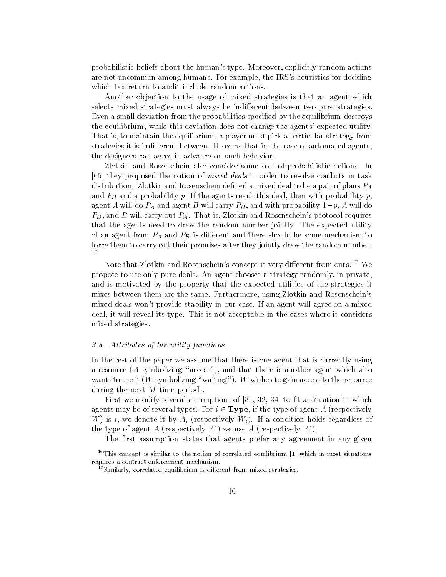probabilistic beliefs about the humans type Moreover- explicitly random actions are not uncommon among humans For example, the IRS here is a second for deciding which tax return to audit include random actions

Another ob jection to the usage of mixed strategies is that an agent which selects mixed strategies must always be indi erent between two pure strategies Even a small deviation from the probabilities specified by the equilibrium destroys the equilibrium-does not change this deviation does not change the agents expected utility of the agents expected u That is- to maintain the equilibrium- a player must pick a particular strategy from strategies it is indi erent between It seems that in the case of automated agentsthe designers can agree in advance on such behavior

Zlotkin and Rosenschein also consider some sort of probabilistic actions In [65] they proposed the notion of *mixed deals* in order to resolve conflicts in task distribution. Zlotkin and Rosenschein defined a mixed deal to be a pair of plans  $P_A$ and PB and a probability p If the agents reach this deal- then with probability pagent A will do  $P_A$  and agent B will carry  $P_B$ , and with probability  $1-p$ , A will do -  $D$  , which are part of  $\mu$  is and  $\mu$  is and rosenscheins protocol requires protocol requires by that the agents need to draw the random number jointly. The expected utility of an agent from PA and PB is different and there show me some mechanism to show  $\alpha$ force them to carry out their promises after they jointly draw the random number 16

Note that Zlotkin and Rosenscheins concept is very di erent from ours We propose to use only pure deals An agent chooses a strategy randomly- in privateand is motivated by the property that the expected utilities of the strategies it mixes between them are the same Furthermore- and Rosenscheinsteinsteinstellen and Provincial Communities of th mixed deals won't provide stability in our case. If an agent will agree on a mixed deal-term is not acceptable its type This is not acceptable in the cases where it considers where it considers mixed strategies

# 3.3 Attributes of the utility functions

In the rest of the paper we assume that there is one agent that is currently using a resource (is a joint and there is an output which are interesting which also another which are in wants to use it  $(W \text{ symbolizing "waiting").}$  W wishes to gain access to the resource during the next  $M$  time periods.

First we modify several assumptions of  $\mathbb{R}^n$  several assumptions of a situation in which in which is a situation in which in which is a situation of  $\mathbb{R}^n$  . The situation is a situation in which is a situation i agents may be of several types. For  $i \in Type$ , if the type of agent A (respectively with it constants in the set of a condition of the condition of the conditions of  $\alpha$  conditions of the condition of the condition of the condition of the condition of the condition of the condition of the condition of th the type of agent A (respectively W) we use A (respectively W).

The first assumption states that agents prefer any agreement in any given

 $16$ This concept is similar to the notion of correlated equilibrium [1] which in most situations requires a contract enforcement mechanism

 ${}^{7}$ Similarly, correlated equilibrium is different from mixed strategies.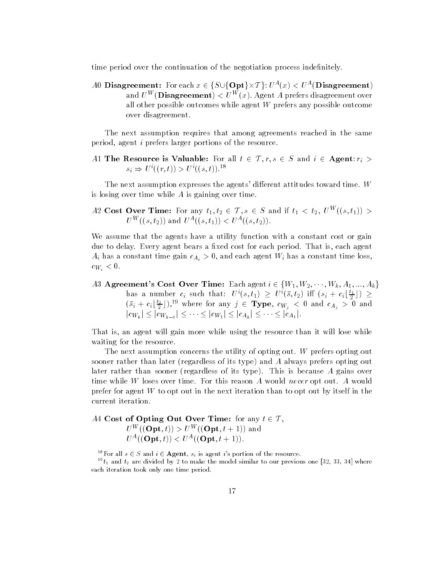time period over the continuation of the negotiation process indefinitely.

time period over the continuation of the negotiation process indefinitely.<br>
A0 Disagreement: For each  $x \in \{S \cup \{Opt\} \times T\} : U^A(x) < U^A(\mathbf{Disagreement})$ and  $U^{\prime\prime}$  (Disagreement)  $\leq U^{\prime\prime}$  (x). Agent A prefers disagreement over all other possible outcomes while agent  $W$  prefers any possible outcome over disagreement

The next assumption requires that among agreements reached in the same period- agent i prefers larger portions of the resource  $\overline{\text{sc}}$ 

Al The Resource is Valuable: For all  $t \in \mathcal{T}, r, s \in S$  and  $i \in \mathbf{Agent}: r_i > 0$  $s_i \Rightarrow U^i((r,t)) > U^i((s,t))$ .<sup>18</sup>

The next assumption expresses the agents di erent attitudes toward time W is losing over time while A is gaining over time r<br>T

A2 Cost Over Time: For any  $t_1, t_2 \in \mathcal{T}, s \in S$  and if  $t_1 < t_2$ ,  $U^W((s, t_1)) >$  $U''((s, t_2))$  and  $U''((s, t_1)) \leq U''((s, t_2))$ .

We assume that the agents have a utility function with a constant cost or gain due to delay Every agent bears a xed cost for each period That is- each agent Ai has a constant time gain cAi - and each agent Wi has a constant time loss $c_{W_i} < 0.$  $c_{W_i} < 0.$ <br>A3 Agreement's Cost Over Time: Each agent  $i \in \{W_1, W_2, \cdots, W_k, A_1, ..., A_k\}$ 

has a number  $c_i$  such that:  $U^i(s,t_1) \geq U^i(\bar{s},t_2)$  iff  $(s_i + c_i \lfloor \frac{t_1}{2} \rfloor) \geq$ has a number  $c_i$  such that:  $U^i(s, t_1) \geq U^i(\bar{s}, t_2)$  iff  $(s_i + c_i \lfloor \frac{t_1}{2} \rfloor) \geq (\bar{s}_i + c_i \lfloor \frac{t_2}{2} \rfloor)^{19}$  where for any  $j \in \textbf{Type}, c_{W_j} < 0$  and  $c_{A_j} > 0$  and  $|c_{W_k}| \leq |c_{W_{k-1}}| \leq \cdots \leq |c_{W_1}| \leq |c_{A_k}| \leq \cdots \leq$ 

That is- an agent will gain more while using the resource than it will lose while waiting for the resource

The next assumption concerns the utility of opting out. W prefers opting out sooner rather than later (regardless of its type) and A always prefers opting out later rather than sooner (regardless of its type). This is because A gains over time while W loses over time. For this reason  $A$  would never opt out.  $A$  would prefer for agent W to opt out in the next iteration than to opt out by itself in the current iteration

A4 Cost of Opting Out Over Time: for any  $t \in \mathcal{T}$ ,  $U \cap ((\text{Opt}, \iota)) \geq U \cap ((\text{Opt}, \iota + 1))$  and  $U^{\sim}(\{\mathbf{U}\mathbf{p}\mathbf{t},t\})\leq U^{\sim}(\{\mathbf{U}\mathbf{p}\mathbf{t},t+1\}).$ 

<sup>18</sup>For all  $s \in S$  and  $i \in \textbf{Agent}$ ,  $s_i$  is agent  $i$ 's portion of the resource.<br><sup>19</sup>t<sub>1</sub> and t<sub>2</sub> are divided by 2 to make the model similar to our previous one [32, 33, 34] where each iteration took only one time period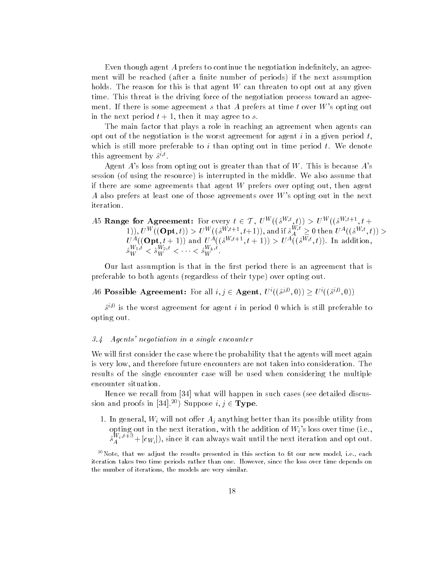Even though agent A prefers to continue the negotiation indenitely- an agree ment will be reached (after a finite number of periods) if the next assumption holds. The reason for this is that agent  $W$  can threaten to opt out at any given time. This threat is the driving force of the negotiation process toward an agreement. If there is some agreement s that A prefers at time t over  $W$ 's opting out in the next period to provide the state  $\eta$  in  $\eta$  and the state to state the state of  $\eta$ 

The main factor that plays a role in reaching an agreement when agents can opt out of the negotiation is the worst agreement for agent i in a given period t. which is still more preferable to i than opting out in time period t. We denote  $\overline{\mathrm{t}}$  agreement by  $\overline{s}$  .

Agent A's loss from opting out is greater than that of W. This is because A's session (of using the resource) is interrupted in the middle. We also assume that if there are some agreements that agent W prefers over opting out- then agent A also prefers at least one of those agreements over W's opting out in the next

# A5 Range for Agreement: For every  $t \in$ ,  $U = (S^{(1)}, l) \geq U^{(1)}$  ( $(S^{(2)}, l)$ )  $(1)), U^{W}((\textbf{Opt}, t)) > U^{W}((\hat{s}^{W,t+1}, t+1)), \text{and if } \hat{s}^{W,t}_{A} \geq 0 \text{ then } U^{A}((\hat{s}^{W,t}, t)) > 0$  $U^{-1}(\{ \text{Opt}, t + 1 \})$  and  $U^{-1}(S^{-1})^{-1}$ ,  $t + 1$   $\}$   $> U^{-1}((S^{-1})^{-1}, t)$ . In addition,  $\hat{s}^{w_1,\iota}_W < \hat{s}^{w_2,\iota}_W < \cdots < \hat{s}^{w_k,\iota}_W.$

Our last assumption is that in the first period there is an agreement that is preferable to both agents (regardless of their type) over opting out.

A6 Possible Agreement: For all  $i, j \in \mathbf{Agent}, U^i((\hat{s}^{j,0},0)) \geq U^i((\hat{s}^{i,0},0))$ 

 $s$ <sup>3</sup> is the worst agreement for agent  $i$  in period  $\sigma$  which is still preferable to opting out

#### agent and single encounters in a single client clients of the single state of the single state of the single s

We will first consider the case where the probability that the agents will meet again is very low- and therefore future encounters are not taken into consideration The results of the single encounter case will be used when considering the multiple encounter situation

Hence we recall from  $[34]$  what will happen in such cases (see detailed discussion and proofs in [34].<sup>20</sup>) Suppose  $i, j \in \textbf{Type}$ .

er are Aj anything better than its possible utility from the company of the complete utility from the complete  $\mathbf r$  out in the addition-distribution-distribution-distribution-distribution-distribution-distribution-distribution- $\hat{s}_{A}^{W_i,t+s}+|c_{W_i}|$ , since it can always wait until the next iteration and opt out.

whote, that we adjust the results presented in this section to fit our new model, i.e., each was iteration takes two time periods rather than one. However, since the loss over time depends on the number of iterations, the models are very similar.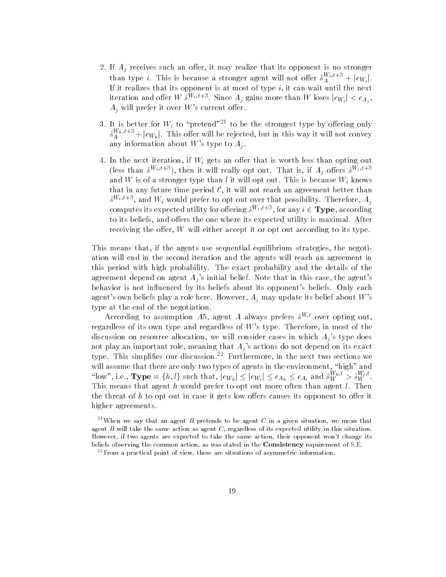- If Aj receives such an o er- it may realize that its opponent is no stronger than type *i*. This is because a stronger agent will not offer  $\hat{s}_{A}^{W_i,t+3} + |c_{W_i}|$ . If it realizes that its opponent is at most of type i- it can wait until the next iteration and offer  $W \ \hat{s}^{W_i, t+3}$ . Since  $A_j$  gains more than  $W$  loses  $|c_{W_i}| < c_{A_j},$ Aj will prefer it over Ws current o er
- 3. It is better for  $w_i$  to pretend  $\vdots$  to be the strongest type by onering only  $\hat{s}_{A}^{W_k, t+3} + |c_{W_k}|$ . This offer will be rejected, but in this way it will not convey any information about W's type to  $A_i$
- it the next interation-in the grace and an optimize that is word optimize the second out (ress than  $s^{(n+1)}$ ), then it will really opt out. That is, if  $A_j$  oners  $s^{(n+1)}$ and W is of a stronger type than l it will opt out. This is because  $W_i$  knows that in any future time period  $t$  , it will not reach an agreement better than  $s^{n+1}$ , and  $W_i$  would prefer to opt out over that possibility. Therefore,  $A_j$ computes its expected utility for offering  $\hat{s}^{W_i, t+3}$ , for any  $i \in \textbf{Type}$ , according to the others, while the one which where the the position density is maximally the control  $\sim$ receiving the original term of the original term of the original term of the original term of the original term

This means that- if the agents use sequential equilibrium strategies- the negoti ation will end in the second iteration and the agents will reach an agreement in this period with high probability The exact probability and the details of the agreement depend on agent Aj s in this case in this casebehavior is not influenced by its beliefs about its opponent's beliefs. Only each agents own beliefs play a role here However-Lief and the local distribution of the local distribution of the l type at the end of the negotiation

According to assumption  $A$ b, agent  $A$  always prefers  $s$  we opting out, regardless of its own type and regardless of Way to Type Therefore the Section of the Therefore discussion on resource allocation-cases in which Aj s type does in which Aj s type does in which Aj s type does not play an important role- meaning that Aj s actions do not depend on its exact type. Inis simplines our discussion.-- Furthermore, in the next two sections we will assume that there are only two types of agents in the environment, in  $\mathcal{A}^{(n)}$  and type. This simplifies our discussion.<sup>22</sup> Furthermore, in the next two sections we will assume that there are only two types of agents in the environment, "high" and "low", i.e.,  $\textbf{Type} = \{h, l\}$  such that,  $|c_{W_h}| \leq |c_{W$ This means that agent h would prefer to opt out more often than agent l Then the threat of h to opt out in case it gets low o ers causes its opponent to o er it higher agreements

 $^{21}$  When we say that an agent B pretends to be agent C in a given situation, we mean that agent  $B$  will take the same action as agent  $C$ , regardless of its expected utility in this situation. However if two agents are expected to take the same action their opponent won-t change its beliefs observing the common action, as was stated in the Consistency requirement of S.E.

<sup>-</sup>-From a practical point of view these are situations of asymmetric information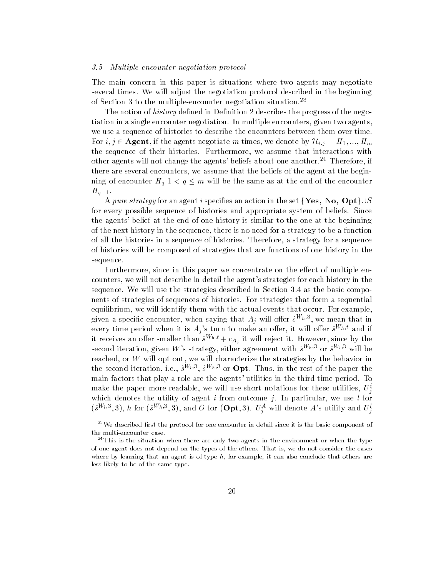### 3.5 Multiple-encounter negotiation protocol

The main concern in this paper is situations where two agents may negotiate several times. We will adjust the negotiation protocol described in the beginning of Section to the multipleencounter negotiation situation-

The notion of *history* defined in Definition 2 describes the progress of the negotiation in a single encounter  $\mathbf{r}$  and  $\mathbf{r}$  agents-s-multiple encounters-s-multiple encounters-s-multiple encounters-multiple encounters-multiple encounters-multiple encounters-multiple encounters-multiple encount we use a sequence of histories to describe the encounters between them over time For  $i,j \in \mathbf{Agent}$ , if the agents negotiate  $m$  times, we denote by  $\mathcal{H}_{i,j} = H_1,...,H_m$ the sequence of their histories Furthermore- we assume that interactions with other agents will not change the agents-beliefs about one another." I herefore, if there we assume that the beliefs of the beliefs of the beliefs of the beliefs of the begin the begin ning of encounter  $H_q$   $1 < q \leq m$  will be the same as at the end of the encounter  $-$ 

A pure strategy for an agent i specifies an action in the set  $\{Yes, No, Opt\} \cup S$ for every possible sequence of histories and appropriate system of beliefs. Since the agents' belief at the end of one history is similar to the one at the beginning of the next the sequence-of the strategy there is no need for a strategy to be a function of of all the histories in a sequence of histories Therefore-International and  $\alpha$  sequence  $\alpha$  sequence  $\alpha$  sequence of  $\alpha$ of histories will be composed of strategies that are functions of one history in the sequence

Furthermore- since in this paper we concentrate on the e ect of multiple en counters-will not describe in detail the agents strategies for each history in the agents strategies for each h sequence. We will use the strategies described in Section  $3.4$  as the basic components of strategies of sequences of histories For strategies that form a sequential equilibrium- we will identify them with the actual events that occur For examplegiven a specific encounter, when saying that  $A_j$  will oner  $s^{-(n+1)}$ , we mean that in every time period when it is  $A_j$  s turn to make an oner, it will oner  $s \ll$  and if It receives an oner smaller than  $s \llbracket x \rrbracket + c_{A_j}$  it will reject it. However, since by the second iteration, given  $W$  is strategy, either agreement with  $s^{m,n+1}$  or  $s^{m,n+1}$  will be reached-will option and will characterize the strategies by the strategies by the strategies by the behavior i the second iteration, i.e.,  $s^{+(n-1)}$ ,  $s^{+(n-1)}$  or **Opt.** Thus, in the rest of the paper the main factors that play a role are the agents' utilities in the third time period. To make the paper more readable, we will use short notations for these utilities,  $U_{\delta}$ j which denotes the utility of agent i from outcome ji first particularly as the control outcome  $(s^{n+1}, 3), n$  for  $(s^{n+1}, 3),$  and U for  $(\text{Opt}, 3)$ .  $U_i^*$  will denote A s utility and  $U_i^*$ je poznata u predstavanje poznata u predstavanje poznata u predstavanje poznata u predstavanje poznata u preds

 $\lceil$  We described first the protocol for one encounter in detail since it is the basic component of the multi-encounter case.

<sup>-</sup>This is the situation when there are only two agents in the environment or when the type of one agent does not depend on the types of the others That is we do not consider the cases where by learning that an agent is of type  $h$ , for example, it can also conclude that others are less likely to be of the same type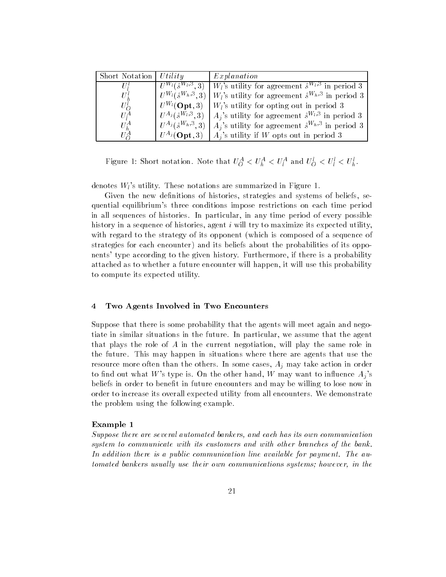| Short Notation   Utility |                                    | Explanation                                                                                                                                           |  |
|--------------------------|------------------------------------|-------------------------------------------------------------------------------------------------------------------------------------------------------|--|
|                          |                                    | $U^{W_l}(\hat{s}^{W_l,3},3)$   $W_l$ 's utility for agreement $\hat{s}^{W_l,3}$ in period 3                                                           |  |
|                          |                                    | $U^{W_l}(\hat{s}^{W_h,3},3)$   $W_l$ 's utility for agreement $\hat{s}^{W_h,3}$ in period 3                                                           |  |
| $U_O^l$                  |                                    | $U^{W_l}(\text{Opt}, 3)$   $W_l$ 's utility for opting out in period 3                                                                                |  |
| $U_t^A$                  |                                    | $\left\{ \left( U^{A_j}(\hat{s}^{W_l,3},3) \right) \; \right  \; A_i \text{'s utility for agreement } \hat{s}^{W_l,3} \; \text{in period 3} \right\}$ |  |
| $U^A_\iota$              | $+U^{A_j}(\hat{s}^{W_h,3},3)^{-1}$ | $A_i$ 's utility for agreement $\hat{s}^{W_h,3}$ in period 3                                                                                          |  |
| UА                       | $U^{A_j}({\rm Opt}, 3)$            | $A_i$ 's utility if W opts out in period 3                                                                                                            |  |

rigure 1: Short hotation. Note that  $U_Q \leq U_h \leq U_l$  and  $U_Q \leq U_l \leq U_h$ .

denotes  $W_l$ 's utility. These notations are summarized in Figure 1.

Given the new denitions of histories- strategies and systems of beliefs- se quential equilibrium's three conditions impose restrictions on each time period in all sequences of histories In particular- in any time period of every possible history in a sequence of histories- agent i will try to maximize its expected utilitywith regard to the strategy of its opponent (which is composed of a sequence of strategies for each encounter) and its beliefs about the probabilities of its opponents type according to the given history Furthermore- if there is a probability attached as to whether a future encounter will happen-like with  $\mathbb{I}^n$  . We are this probability will use this probability will happento compute its expected utility

# Two Agents Involved in Two Encounters

Suppose that there is some probability that the agents will meet again and nego tiate in similar situations in the future In particular-the future In particular-the agents in  $\mathcal{M}_\mathcal{A}$ that plays the role of A in the current negotiation- will play the same role in the future. This may happen in situations where there are agents that use the resource more cases in some cases-action in a some cases-and in  $\mathcal{J}$  , and the cases-action in order to no out what Ws type is On the out of the matrix  $\mathcal{A}$ beliefs in order to benefit in future encounters and may be willing to lose now in order to increase its overall expected utility from all encounters We demonstrate the problem using the following example

# Example

Suppose there are several automated bankers, and each has its own communication system to communicate with its customers and with other branches of the bank. In addition there is a public communication line available for payment. The automated bankers usually use their own communications systems; however, in the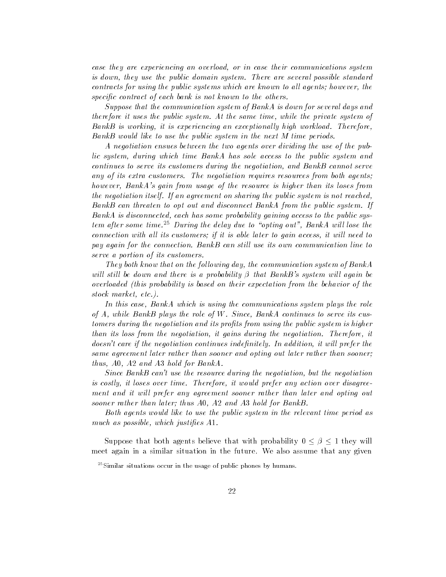case they are experiencing an overload, or in case their communications system is down, they use the public domain system. There are several possible standard  $contracts for using the public systems which are known to all agents; however, the$ specific contract of each bank is not known to the others.

Suppose that the communication system of BankA is down for several days and therefore it uses the public system. At the same time, while the private system of  $BankB$  is working, it is experiencing an exceptionally high workload. Therefore, BankB would like to use the public system in the next M time periods

A negotiation ensues between the two agents over dividing the use of the pub lic system, during which time BankA has sole access to the public system and continues to serve its customers during the negotiation, and BankB cannot serve any of its extra customers. The negotiation requires resources from both agents; however a gain from usage of the resource is higher than its loses from its loses from its loses from its lose the negotiation itself. If an agreement on sharing the public system is not reached, BankB can threaten to opt out and disconnect BankA from the public system If BankA is disconnected, each has some probability gaining access to the public system after some time.<sup>--</sup> During the delay aue to opting out , DankA will lose the connection with all its customers; if it is able later to gain access, it will need to pay again for the connection BankB can still use its own communication line to serve a portion of its customers

They both know that on the following day, the communication system of BankA s sil a sil a be down and the down and the probability of the BankBooks and BankBooks and the BankBooks of the overloaded -this probability is based on their expectation from the behavior of the stock market  $etc.$ ).

In this case, BankA which is using the communications system plays the role of A, while BankB plays the role of W. Since, BankA continues to serve its customers during the negotiation and its profits from using the public system is higher than its loss from the negotiation, it gains during the negotiation. Therefore, it doesn t care if the negotiation continues indenitely In addition it wil l prefer the same agreement later rather than sooner and opting out later rather than sooner thus,  $A0$ ,  $A2$  and  $A3$  hold for BankA.

Since BankB can t use the resource during the negotiation but the negotiation is costly, it loses over time. Therefore, it would prefer any action over disagreement and it will prefer any agreement sooner rather than later and opting out sooner rather than later; thus  $A0$ ,  $A2$  and  $A3$  hold for BankB.

Both agents would like to use the public system in the relevant time period as much as possible, which justifies  $A1$ .

Suppose that both agents believe that with probability  $0 \le \beta \le 1$  they will meet again in a similar situation in the future. We also assume that any given

<sup>-</sup>Similar situations occur in the usage of public phones by humans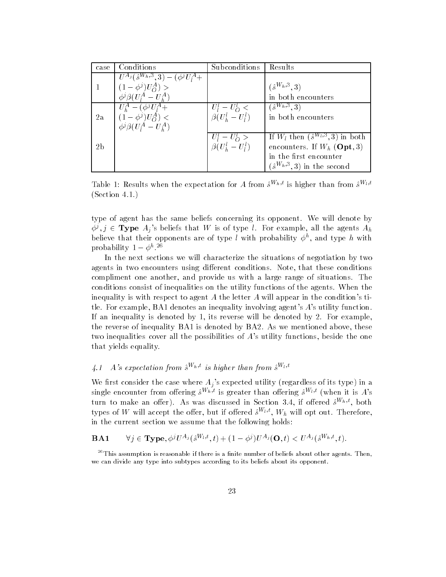| case           | Conditions                                                                                                           | Subconditions                                                | Results                                                                                                |
|----------------|----------------------------------------------------------------------------------------------------------------------|--------------------------------------------------------------|--------------------------------------------------------------------------------------------------------|
|                | $U^{A_j}(\hat{s}^{W_h,3},3) - (\phi^j U_l^A +$<br>$(1-\phi^j)U_O^A$ ) ><br>$\phi^j \beta (U^A_l - U^A_\mu)$          |                                                              | $(\hat{s}^{W_h,3},3)$<br>in both encounters                                                            |
| 2a             | $U_{h}^{A} - (\phi^{j} U_{l}^{A} +$<br>$\begin{array}{c} (1-\phi^j)U_O^A) < \\ \phi^j\beta(U_I^A-U_h^A) \end{array}$ | $U_l^l - U_O^l$<br>$\beta(U_h^l-U_l^l)$                      | $(\hat{s}^{W_h,3},3)$<br>in both encounters                                                            |
| 2 <sub>b</sub> |                                                                                                                      | $U_1^{\iota} - U_{\Omega}^{\iota} >$<br>$\beta(U_h^l-U_l^l)$ | If $W_l$ then $(\hat{s}^{W_l,3},3)$ in both<br>encounters. If $W_h$ (Opt, 3)<br>in the first encounter |
|                |                                                                                                                      |                                                              | $(\hat{s}^{W_h,3},3)$ in the second                                                                    |

Table 1: Results when the expectation for A from  $\hat{s}^{W_h,t}$  is higher than from  $\hat{s}^{W_l,t}$  $(Section 4.1.)$ 

type of agent has the same beliefs concerning its opponent. We will denote by  $\phi^j, j \in \textbf{Type } A_j$ 's beliefs that W is of type *l*. For example, all the agents  $A_h$ believe that their opponents are of type  $\iota$  with probability  $\varphi^+$ , and type  $n$  with probability  $1 - \phi^{h-26}$ 

In the next sections we will characterize the situations of negotiation by two agents in the third district using different conditions in the theory that the conditions of the conditions of comparente and measure, which provides the virtual of situation of situations Theory conditions consist of inequalities on the utility functions of the agents When the inequality is with respect to agent A the letter A will appear in the condition's tithe Formal production in the contract  $\alpha$  in  $\alpha$  and  $\alpha$  in  $\alpha$  and  $\alpha$  are  $\alpha$  as utility functions and If an inequality is denoted by - its reverse will be denoted by For examplethe reverse of inequality Barry Based by Barry and the best for the second above  $\sim$  . The second two intequalities cover and the possibilities of As utility functions-weight functions-weight functionsthat yields equality

#### 4.1  $\,$  A s expectation from s  $\,$   $\,$   $\,$  is higher than from s  $\,$   $\,$   $\,$

We first consider the case where  $A_j$ 's expected utility (regardless of its type) in a single encounter from offering  $s^{n_0}$  is greater than offering  $s^{n_0}$  (when it is A s turn to make an oner). As was discussed in Section 5.4, if onered  $s \ll 0$  , both types of W will accept the o er- but if o ered \$sWl t - Wh will opt out Thereforein the current section we assume that the following holds

 $\mathbf{BA1} \qquad \forall j \in \mathbf{Type}, \phi^j U^{A_j}(\hat{s}^{W_l,t},t) + (1-\phi^j) U^{A_j}(\mathbf{O},t) < U^{A_j}(\hat{s}^{W_h,t},t).$ 

 $^\circ$  This assumption is reasonable if there is a finite number of beliefs about other agents. Then, we can divide any type into subtypes according to its beliefs about its opponent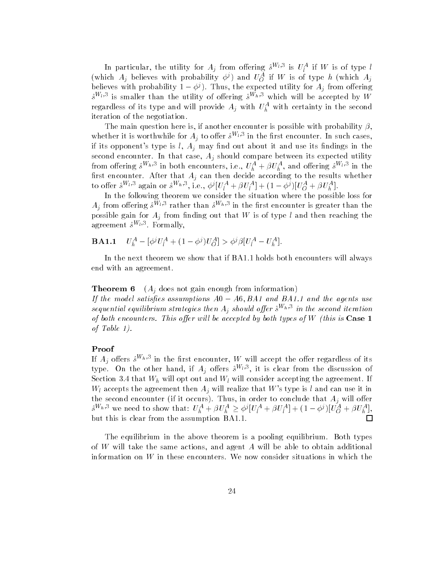In particular, the utility for  $A_j$  from onering  $s^{n(i)}$  is  $U_l^{i}$  if W is of type  $l$ (which  $A_j$  believes with probability  $\varphi$ ) and  $U_Q$  if W is of type  $n$  (which  $A_j$ believes with probability  $1 - \phi^j$ ). Thus, the expected utility for  $A_j$  from offering  $s^{1000}$  is smaller than the utility of offering  $s^{1000}$  which will be accepted by W regardless of its type and will provide  $A_j$  with  $U_h^*$  with certainty in the second iteration of the negotiation

The main question here is- if another encounter is possible with probability whether it is worthwhile for  $A_j$  to oner  $s\llcorner\psi$  in the first encounter. In such cases, if its opponents type is ly may not about it and use it and use it and use it about  $\alpha$ second encounter. In that case,  $A_i$  should compare between its expected utility any showled compare showled utility and the state of the state utility of the state  $\gamma$ from offering  $s^{n}$ , in both encounters, i.e.,  $U_h^+ + \rho U_h^+,$  and offering  $s^{n}$ , in the rst encounter After that Aj can then decide according to the results whether to offer  $\hat{s}^{W_l,3}$  again or  $\hat{s}^{W_h,3},$  i.e.,  $\phi^{\jmath}[U_l^A+\beta U_l^A] + (1-\phi^{\jmath})[U_O^A+\beta U_h^A].$ 

In the following theorem we consider the situation where the situation where the possible loss for possible loss for  $\mathbb{P}^1$  $A_j$  from offering  $s\ll 1$  rather than  $s\ll 1$  in the first encounter is greater than the possible gain for  $A_j$  from finding out that W is of type l and then reaching the agreement *sww*. rormany,

**BA1.1** 
$$
U_h^A - [\phi^j U_l^A + (1 - \phi^j) U_O^A] > \phi^j \beta [U_l^A - U_h^A].
$$

In the next theorem we show that if BA1.1 holds both encounters will always end with an agreement

# **Theorem 6** ( $A_i$  does not gain enough from information)

If the model satisfies assumptions  $A0 - A6$ ,  $BA1$  and  $BA1.1$  and the agents use sequential equilibrium strategies then  $A_j$  should offer  $s^{\ldots n}$  in the second iteration of both encounters This oer wil l be accepted by both types of W -this is Case of Table

# Proof

If  $A_j$  oners  $s^{n \mu_{j+1}}$  in the first encounter,  $W$  will accept the oner regardless of its type. On the other hand, if  $A_j$  oners  $s_{\text{max}}$ , it is clear from the discussion of Section 3.4 that  $W_h$  will opt out and  $W_l$  will consider accepting the agreement. If  $W_l$  accepts the agreement then  $A_i$  will realize that W's type is l and can use it in the second encounter (if it occurs). In order to conclude that the third of will only  $\hat s^{W_h,3}$  we need to show that:  $U_h^A+\beta U_h^A \geq \phi^{\jmath}[U_l^A+\beta U_l^A]+(1-\phi^{\jmath})[U_O^A+\beta U_h^A],$  $\Box$ but this is clear from the assumption BA

The equilibrium in the above theorem is a pooling equilibrium. Both types of w will take the same actions-will be agent A will be able to obtain additional information on  $W$  in these encounters. We now consider situations in which the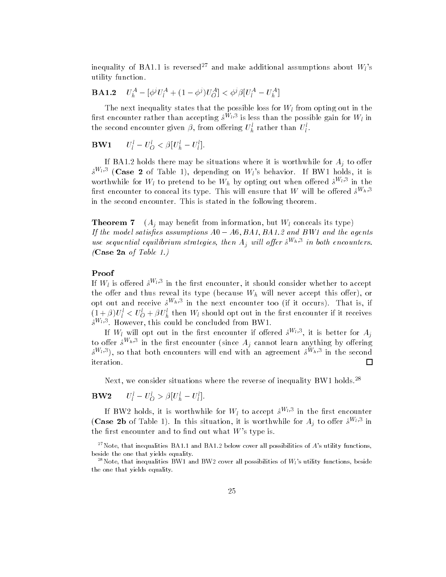inequality of  $\texttt{partial}$  is reversed-thangled make additional assumptions about  $W_l$  share utility function

**BA1.2** 
$$
U_h^A - [\phi^j U_l^A + (1 - \phi^j) U_O^A] < \phi^j \beta [U_l^A - U_h^A]
$$

The next inequality states that the possible loss for  $W_l$  from opting out in the iftst encounter rather than accepting  $s_{\mathbb{S}^{n+1}}$  is less than the possible gain for  $w_l$  in the second encounter given  $\rho$ , from onering  $v_h$  rather than  $v_l$ .

$$
\mathbf{B}\mathbf{W}\mathbf{1} \qquad U_l^l - U_O^l < \beta [U_h^l - U_l^l].
$$

 $\mathbf{I}$  $s^{10.5}$  (Case 2 of Table 1), depending on  $W_l$ s behavior. If BWT holds, it is worthwhile for  $W_l$  to pretend to be  $W_h$  by opting out when offered  $s^{\omega_0,\omega_1}$  in the first encounter to conceal its type. This will ensure that  $W$  will be offered  $s^{+n},$ in the second encounter. This is stated in the following theorem.

Theorem Aj may benet from information- but Wl conceals its type If the model satisfies assumptions  $A0 - A6$ ,  $BA1$ ,  $BA1.2$  and BW1 and the agents use sequential equilibrium strategies, then  $A_j$  will offer switch both encounters. -Case a of Table

#### Proof

If  $W_l$  is offered  $s^{\cdots}$  in the first encounter, it should consider whether to accept the orientation of the contract the contract the contract the contract the contract the contract of  $\eta$ opt out and receive  $s^{n+p+1}$  in the next encounter too (if it occurs). That is, if  $(1 + \rho) v_l < v_0 + \rho v_h$  then Wl should opt out in the first encounter if it receives  $s^{new}$  . However, this could be concluded from BWT.

If  $W_l$  will opt out in the first encounter if offered  $s^{n_l}$ , it is better for  $A_j$ to oner  $s \ll r$  in the first encounter (since  $A_j$  cannot learn anything by onering  $s^{\omega}$  ), so that both encounters will end with an agreement  $s^{\omega}$  in the second iteration  $\Box$ 

Next- we consider situations where the reverse of inequality BW holds-

 $\mathbf{B} \mathbf{W} \mathbf{2}$  $l_{l}^{l} - U_{O}^{l} > \beta [U_{h}^{l} - U_{l}^{l}].$ 

If BW2 holds, it is worthwhile for  $W_l$  to accept  $s^{\otimes n}$  in the first encounter (Case 2D of Table 1). In this situation, it is worthwhile for  $A_j$  to oner  $s^{n}$ . In the first encounter and to find out what  $W$ 's type is.

 $^{27}$  Note, that inequalities BA1.1 and BA1.2 below cover all possibilities of A's utility functions, beside the one that yields equality

 $^{28}$ Note, that inequalities BW1 and BW2 cover all possibilities of  $W_l$ 's utility functions, beside the one that yields equality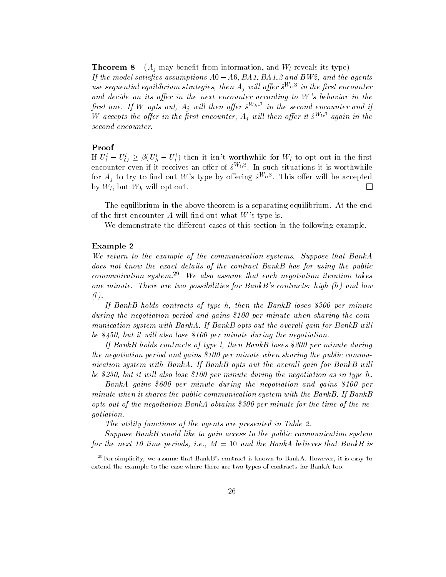Theorem  Aj may benet from information- and Wl reveals its type If the model satisfies assumptions  $A0 - A6$ ,  $BA1$ ,  $BA1.2$  and  $BW2$ , and the agents use sequential equilibrium strategies, then  $A_j$  will offer  $s^{\text{max}}$  in the first encounter and decide on its oer in the next encounter according to W s behavior in the first one. If  $w$  opts out,  $A_j$  will then offer  $s^{\vee n,\vee}$  in the second encounter and if W accepts the offer in the first encounter,  $A_i$  will then offer it  $\hat{s}^{W_l,3}$  again in the second encounter

# Proof

If  $U_l^l-U_O^l\geq \beta(U_h^l-U_l^l)$  then it isn't worthwhile for  $W_l$  to opt out in the first encounter even if it receives an offer of  $s^{n+p}$ . In such situations it is worthwhile for  $A_j$  to try to find out w s type by offering  $s \ll 1$  ins offer will be accepted  $\Box$  $\mathcal{L}$  will define the will optimize the contract of  $\mathcal{L}$ 

The equilibrium in the above theorem is a separating equilibrium At the end of the first encounter A will find out what  $W$ 's type is.

We demonstrate the di erent cases of this section in the following example

#### Example

We return to the example of the communication systems. Suppose that BankA does not know the exact details of the contract BankB has for using the public communication system- We also assume that each negotiation iteration takes one minute There are two possibilities for BankB s contracts high -h and low -l

If BankB holds contracts of type h, then the BankB loses  $$300$  per minute during the negotiation period and gains  $$100$  per minute when sharing the communication system with BankA. If BankB opts out the overall gain for BankB will be  $\$450$ , but it will also lose  $\$100$  per minute during the negotiation.

If BankB holds contracts of type l, then BankB loses  $$200$  per minute during the negotiation period and gains  $$100$  per minute when sharing the public communication system with BankA. If BankB opts out the overall gain for BankB will be  $\$250$ , but it will also lose  $\$100$  per minute during the negotiation as in type h.

BankA gains \$600 per minute during the negotiation and gains \$100 per minute when it shares the public communication system with the BankB If BankB opts out of the negotiation BankA obtains  $$300$  per minute for the time of the negotiation

The utility functions of the agents are presented in Table 2.

Suppose BankB would like to gain access to the public communication system for the next 10 time periods, i.e.,  $M = 10$  and the BankA believes that BankB is

- For simplicity we assume that BankB-s contract is known to BankA However it is easy to extend the example to the case where there are two types of contracts for BankA too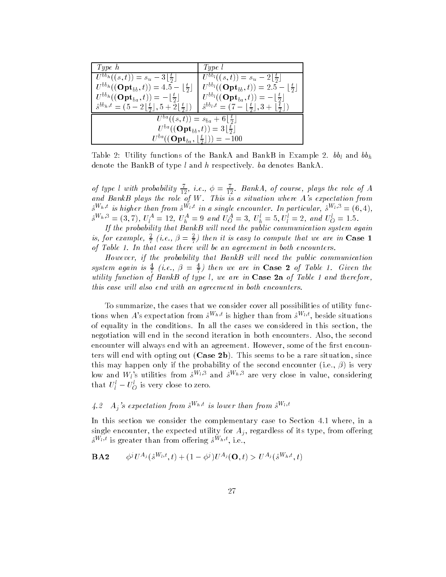| Type h                                                                                                  | Type l                                                                                                        |  |  |  |
|---------------------------------------------------------------------------------------------------------|---------------------------------------------------------------------------------------------------------------|--|--|--|
| $U^{bb_h}((s,t))=s_u-3\left\lfloor\frac{t}{2}\right\rfloor$                                             | $U^{bb}((s,t))=s_u-2\left\lfloor \frac{t}{2}\right\rfloor$                                                    |  |  |  |
| $U^{bb_h}((\textbf{Opt}_{bb},t)) = 4.5 - \lfloor \frac{t}{2} \rfloor$                                   | $U^{bb_l}((\textbf{Opt}_{bb},t)) = 2.5 - \lfloor \frac{t}{2} \rfloor$                                         |  |  |  |
| $U^{bb_h}((\textbf{Opt}_{ba},t)) = -\lfloor \frac{t}{2} \rfloor$                                        | $U^{bb_l}((\textbf{Opt}_{ba},t)) = -\lfloor \frac{t}{2} \rfloor$                                              |  |  |  |
| $\hat{s}^{bb_h,t} = (5-2\left\lfloor\frac{t}{2}\right\rfloor, 5+2\left\lfloor\frac{t}{2}\right\rfloor)$ | $\hat{s}^{bb_l,t} = (7 - \left\lfloor \frac{t}{2} \right\rfloor, 3 + \left\lfloor \frac{t}{2} \right\rfloor)$ |  |  |  |
| $U^{ba}((s,t)) = s_{ba} + 6\left\lfloor \frac{t}{2} \right\rfloor$                                      |                                                                                                               |  |  |  |
| $U^{ba}((\textbf{Opt}_{bb},t)) = 3\lfloor \frac{t}{2} \rfloor$                                          |                                                                                                               |  |  |  |
| $U^{ba}((\textbf{Opt}_{ba}, \lfloor \frac{t}{2} \rfloor)) = -100$                                       |                                                                                                               |  |  |  |

Table 2: Utility functions of the BankA and BankB in Example 2.  $bb_l$  and  $bb_h$ denote the BankB of type l and h respectively, ba denotes BankA.

of type t with probability  $\frac{1}{12}$ , i.e.,  $\phi = \frac{1}{12}$ . BankA, of course, plays the role of A and BankB plays the role of W This is a situation where A s expectation from  $\hat{s}^{W_h,t}$  is higher than from  $\hat{s}^{W_l,t}$  in a single encounter. In particular,  $\hat{s}^{W_l,3} = (6,4)$ ,  $s^{(n+1)} = (3, t), \; U_i^{\dagger} = 12, \; U_{\tilde{h}}^{\dagger} = 9 \; \text{and} \; U_{\tilde{O}}^{\dagger} = 3, \; U_{\tilde{h}}^{\dagger} = 3, \; U_i^{\dagger} = 2, \; \text{and} \; U_{\tilde{O}}^{\dagger} = 1.3.$ 

If the probability that BankB will need the public communication system again is, for example,  $\frac{1}{7}$  (i.e.,  $p = \frac{1}{7}$ ) then it is easy to compute that we are in Case 1 of Table 1. In that case there will be an agreement in both encounters.

However, if the probability that BankB will need the public communication system again is  $\frac{1}{7}$  (i.e.,  $\beta = \frac{1}{7}$ ) then we are in **Case 2** of Table 1. Given the utility function of BankB of type  $l$ , we are in Case 2a of Table 1 and therefore, this case will also end with an agreement in both encounters

To summarize- the cases that we consider cover all possibilities of utility func tions when A s expectation from  $s^{n}$  is higher than from  $s^{n}$  , beside situations of equality in the conditions In all the cases we considered in this section- the negotiation will end in the second iteration in both encounters Also- the second ence which will always end with an agreement However-County and the rate of the rate of the r ters will end with opting out Case b This seems to be a rare situation- since this may happen only if the probability of the second encounter ie- is very low and  $W_l$  s utilities from  $s^{n+1}$  and  $s^{n+1}$  are very close in value, considering that  $U^l_l-U^l_O$  is very close to zero.

# 4.2  $A_i$  s expectation from s  $\mathbb{R}^n$  is lower than from s  $\mathbb{R}^n$

In this section we consider the complementary case to Section where- in a single encounter- the expected utility for Aj - regardless of its type- from o ering  $s \sim$  is greater than from onering  $s \sim$  . i.e.,

$$
\mathbf{BA2} \qquad \phi^j U^{A_j}(\hat{s}^{W_l,t},t) + (1-\phi^j) U^{A_j}(\mathbf{O},t) > U^{A_j}(\hat{s}^{W_h,t},t)
$$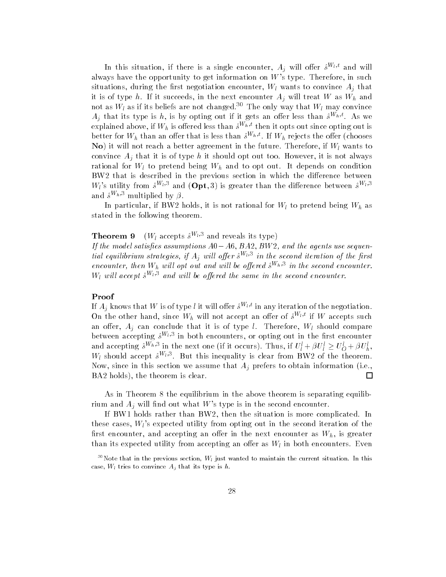In this situation, if there is a single encounter,  $A_j$  will oner  $s \sim$  and will always have the opportunity to give information on William Contraction on the Second rst nederly the rate that the results the rate need to province and the results to convince  $\mathcal{A}$  that the it is of type h If it succeeds- in the next encounter Aj will treat <sup>W</sup> as Wh and not as  $w_l$  as if its beliefs are not changed. The only way that  $w_l$  may convince  $A_j$  that its type is  $n$ , is by opting out if it gets an oner less than  $s^{n,n}$ . As we explained above, if  $w_h$  is onered less than  $s^{+m+\epsilon}$  then it opts out since opting out is better for  $W_h$  than an oner that is less than  $s \sim 1$ . If  $W_h$  rejects the oner (chooses not it will not a better a better and the future the future Therefore-I is to future Therefore-I is convince Af that it is of type h it showed opt out too However-Converted out to However-Converse to rational for  $W_l$  to pretend being  $W_h$  and to opt out. It depends on condition BW that is described in the previous section in which the di erence between  $W_l$  s utility from  $s^{m_l}$  and  $(\textbf{Opt}, s)$  is greater than the difference between  $s^{m_l}$ and  $\hat{s}^{W_h,3}$  multiplied by  $\beta$ .

in particular-matrix in the matrix of the matrix and the state where  $\alpha$  is not when  $\alpha$  as  $\alpha$ stated in the following theorem

# **Theorem 9** ( $W_l$  accepts  $\hat{s}^{W_l,3}$  and reveals its type)

If the model satisfies assumptions  $A0 - A6$ ,  $B A2$ ,  $B W2$ , and the agents use sequentiat equilibrium strategies, if  $A_j$  with offer  $s^{\ldots}$  in the second iteration of the first encounter, then  $w_h$  will opt out and will be offered switch the second encounter.  $\hspace{0.1 cm}$  $W_l$  will accept  $\hat{s}^{W_l,3}$  and will be offered the same in the second encounter.

#### Proof

If  $A_j$  knows that W is of type  $i$  it will oner  $s\geq 1$  in any iteration of the negotiation. On the other hand, since  $w_h$  will not accept an oner of  $s \sim$  if w accepts such an only type and that it is of the start of type life and there  $\gamma$  ,  $\gamma$  ( therefore that  $\gamma$ between accepting  $s^{m+1}$  in both encounters, or opting out in the first encounter and accepting  $\hat{s}^{W_h,3}$  in the next one (if it occurs). Thus, if  $U^l_l + \beta U^l_l \ge U^l_O + \beta U^l_h$ ,  $W_l$  should accept  $s^{\vee}$ . But this inequality is clear from BW  $z$  of the theorem. e in this section we assume that the section were there is a preferred to obtain the complete that  $\{1,2,3,4\}$  $\Box$ BA holds- the theorem is clear

As in Theorem 8 the equilibrium in the above theorem is separating equilibrium and  $A_i$  will find out what W's type is in the second encounter.

If BW holds rather than BW- then the situation is more complicated In these cases-cases-cases-cases-cases-cases-cases-cases-cases-cases-cases-cases-cases-cases-cases-cases-cases-casesrst encounter-in the next hours and the next encounter and the next encounter  $\mathcal{M}^{(0)}$  in University than its expected utility from accepting an o er as Wl in both encounters Even

 $\rm ^{50}$ Note that in the previous section,  $W_l$  just wanted to maintain the current situation. In this case,  $W_l$  tries to convince  $A_j$  that its type is h.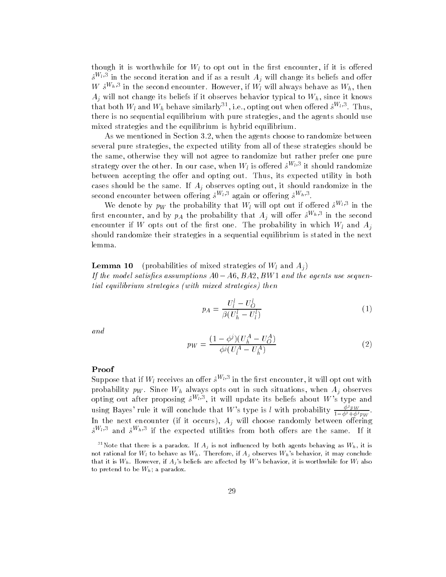though it is worthwhile for Wl to option  $\mathcal{I}$  is option of  $\mathcal{I}$  is option of  $\mathcal{I}$  is option of  $\mathcal{I}$  $s^{100}$  in the second iteration and if as a result  $A_j$  will change its beliefs and offer W  $s^{16}$ . In the second encounter. However, if Wl will always behave as Wh, then Aj will not change it is beliefs if it observes behavior typical to Wh-  $\mathcal{A}$  if  $\mathcal{A}$  to Wh-  $\mathcal{A}$  if  $\mathcal{A}$  is the  $\mathcal{A}$  if  $\mathcal{A}$  is the since it follows: that both  $W_l$  and  $W_h$  behave similarly  $\cdot$  , i.e., opting out when onered  $s\cdots$  . Thus, there is no sequential equipment with with pure strategies- and the agents showld use the agents showld use th mixed strategies and the equilibrium is hybrid equilibrium

 $\mathcal{A}$  when the agents choose to  $\mathcal{A}$  agents choose to randomize between the agents choose to randomize between  $\mathcal{A}$ se veral pure strategies, in the expected utility from all of the strategies showledges showled be the same- otherwise they will not agree to randomize but rather prefer one pure strategy over the other. In our case, when  $w_l$  is onered  $s^{\ldots}$  it should randomize between accepting the o er and opting out Thus- its expected utility in both cases showld be the same If Aj observes optimize in the same If Aj observes optimize in the showld randomize i second encounter between onering  $s^{n+1}$  again or onering  $s^{n+1}$ .

We denote by  $p_W$  the probability that  $w_l$  will opt out if offered  $s^{\omega}$ . In the first encounter, and by  $p_A$  the probability that  $A_j$  will oner  $s^{\ldots n_j}$  in the second encounter if W opts out of the first one. The probability in which  $W_l$  and  $A_j$ should randomize their strategies in a sequential equilibrium is stated in the next lemma

# **Lemma 10** (probabilities of mixed strategies of  $W_l$  and  $A_i$ ) If the model satisfies assumptions  $A0 - A6$ ,  $B A2$ ,  $B W1$  and the agents use sequen-

tial equilibrium strategies -with mixed strategies then

$$
p_A = \frac{U_l^l - U_O^l}{\beta (U_h^l - U_l^l)}
$$
\n(1)

and

$$
p_W = \frac{(1 - \phi^j)(U_h^A - U_0^A)}{\phi^j (U_l^A - U_h^A)}
$$
(2)

### Proof

Suppose that if  $W_l$  receives an offer  $s^{\ldots}$  in the first encounter, it will opt out with probability pW Since Wh always opts out in such situations- when Aj observes opting out after proposing  $s^{new}$ , it will update its beliefs about W s type and using Bayes' rule it will conclude that W's type is l with probability  $\frac{\psi^2 W}{\psi^2 + \psi^2}$ .  $1 - \varphi J + \varphi J p_W$ in the next encounter in the state  $\mu$  and  $\mu$  will choose randomly between onestimal  $s^{new}$  and  $s^{new}$  if the expected utilities from both offers are the same. If it

<sup>&</sup>lt;sup>31</sup> Note that there is a paradox. If  $A_i$  is not influenced by both agents behaving as  $W_h$ , it is not rational for  $W_l$  to behave as  $W_h$ . Therefore, if  $A_j$  observes  $W_h$ 's behavior, it may conclude that it is  $W_h$ . However, if  $A_i$ 's beliefs are affected by  $W$ 's behavior, it is worthwhile for  $W_l$  also to pretend to be  $W_h$ ; a paradox.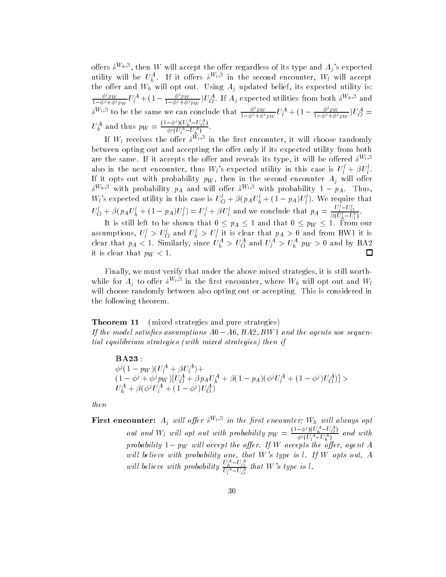oners  $s^{1/n+1}$ , then W will accept the oner regardless of its type and  $A_j$  s expected utility will be  $U_b^{\pm}$ . If it offers  $s^{\pm}$  of the the second encounter,  $h$  . If it is not the second contract  $\cdots$  ,  $\cdots$  ,  $\cdots$  and  $\cdots$  . the other will option and USI using Aj updated utility is expected utility is the set  $\varphi \cdot p_W = r$  $\frac{\phi'pw}{1-\phi^j+\phi^jpw}U_l^A+(1-\frac{\phi'pw}{1-\phi^j+\phi^jpw})U_Q^A.$  If  $A_j$  expected utilities from both  $\hat{s}^{W_h,3}$  and  $\hat{s}^{W_l,3}$  to be the same we can conclude that  $\frac{\phi^2 p_W}{1-\phi^2+\phi^2 p_W} U_l^A + (1-\frac{\phi^2 p_W}{1-\phi^2+\phi^2 p_W}) U_O^A =$  $U_h^A$  and thus  $p_W = \frac{(1 - \varphi^2)(U_h - U_O)}{\varphi^j(U_i^A - U_h^A)}$ .

If  $W_l$  receives the oner  $s \sim$  in the first encounter, it will choose randomly between opting out and accepting the o er only if its expected utility from both are the same. If it accepts the oner and reveals its type, it will be onered  $s^{\omega}$  of also in the next encounter, thus  $W_l$  s expected utility in this case is  $U_l^+ + \rho U_l^+$ . If it opts out with probability pW - then in the second encounter Aj will o er  $\hat{s}^{W_h,3}$  with probability  $p_A$  and will offer  $\hat{s}^{W_l,3}$  with probability  $1-p_A$ . Thus,  $W_l$ 's expected utility in this case is  $U_O^l + \beta (p_A U_h^l + (1-p_A) U_l^l)$ . We require that  $U_Q^l + \beta (p_A U_h^l + (1-p_A)U_l^l) = U_l^l + \beta U_l^l$  and we conclude that  $p_A = \frac{U_l - U_O}{\beta (H^l - H^l)}$ .

It is still left to be shown that  $0 \le p_A \le 1$  and that  $0 \le p_W \le 1$ . From our assumptions,  $U_l > U_Q$  and  $U_h > U_l$  it is clear that  $p_A > 0$  and from BWT it is clear that  $p_A < 1$ . Similarly, since  $U_h > U_O$  and  $U_l > U_h$   $p_W > 0$  and by BA2 it is clear that  $p_W < 1$ .  $\Box$ 

Finally- we must verify that under the above mixed strategies- it is still worth while for  $A_j$  to oner  $s \ll r$  in the first encounter, where  $w_h$  will opt out and  $w_l$ will choose randomly between also opting out or accepting. This is considered in the following theorem

# **Theorem 11** (mixed strategies and pure strategies)

If the model satisfies assumptions  $A0 - A6$ ,  $B A2$ ,  $B W1$  and the agents use sequential equilibrium strategies -with mixed strategies then if

**BA23 :**  
\n
$$
\phi^{j}(1-p_{W})(U_{l}^{A}+\beta U_{l}^{A}) +
$$
\n
$$
(1-\phi^{j}+\phi^{j}p_{W})[U_{O}^{A}+\beta p_{A}U_{h}^{A}+\beta(1-p_{A})(\phi^{j}U_{l}^{A}+(1-\phi^{j})U_{O}^{A})] >
$$
\n
$$
U_{h}^{A}+\beta(\phi^{j}U_{l}^{A}+(1-\phi^{j})U_{O}^{A})
$$

then

**First encounter:**  $A_i$  will offer such the line first encounter;  $W_h$  will always opt out and  $W_l$  will opt out with probability  $p_W = \frac{(1-\phi^2)(U_h^2-U_0^2)}{4\pi i (I/A - I/A)}$  and  $\phi^j(U_l^A-U_h^A)$ probability  $1 - p_W$  will accept the offer. If W accepts the offer, agent A will be a stype is larger with probability one of  $\mathcal{H}$  and  $\mathcal{H}$  and  $\mathcal{H}$  of  $\mathcal{H}$ will believe with probability  $\frac{U_h^{\lambda - U_O}}{U_l^A - U_O^A}$  that W's type is l.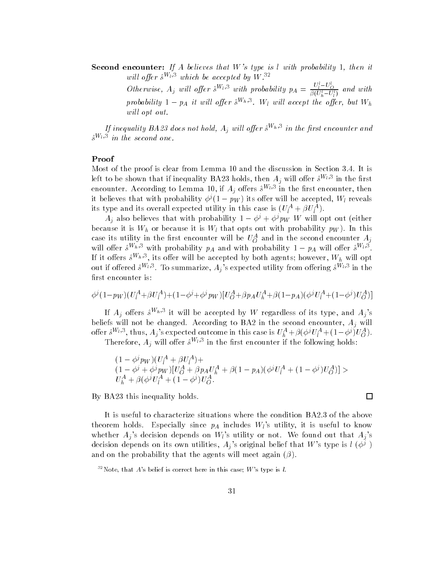$\mathbf{S}$  believes that With probability  $\mathbf{S}$  believes that With probability  $\mathbf{S}$  and its linear its linear intervals of  $\mathbf{S}$ will offer  $\hat{s}^{W_l,3}$  which be accepted by  $W^{32}$ Otherwise,  $A_i$  will offer  $\hat{s}^{W_l,3}$  with probability  $p_A = \frac{U_l - U_O}{\rho (I_l I_l - I_l I_s)}$  a  $\beta(U_h^i-U_l^i)$ probability  $1 - p_A$  it will offer  $\hat{s}^{W_h,3}$ . W<sub>l</sub> will accept the offer, but  $W_h$ will opt out.

If inequality BA z5 aoes not hold,  $A_j$  will offer strive in the first encounter and  $\blacksquare$  $\hat{s}^{W_l,3}$  in the second one.

#### Proof

Most of the proof is clear from Lemma 10 and the discussion in Section 3.4. It is left to be shown that if inequality  $\mathbf{D}\mathbf{A}\mathbf{Z}$  holds, then  $A_j$  will oner  $s\rightarrow s\cdot$  in the first encounter. According to Lemma 10, if  $A_i$  oners  $s \ll r$  in the first encounter, then it believes that with probability  $\phi^j(1 - p_W)$  its offer will be accepted,  $W_l$  reveals its type and its overall expected utility in this case is  $(U_l + PU_l)$ .

 $A_j$  also believes that with probability  $1 - \phi^j + \phi^j p_W W$  will opt out (either because it is  $W_h$  or because it is  $W_l$  that opts out with probability  $p_W$ ). In this case its utility in the first encounter will be  $\tilde{U_O}$  and in the second encounter  $A_j$ will offer  $\hat{s}^{W_h,3}$  with probability  $p_A$  and with probability  $1-p_A$  will offer  $\hat{s}^{W_h,3}$ . If it oners  $s^{n_0}$ , its oner will be accepted by both agents; however,  $w_h$  will opt out if offered  $s^{16/2}$ . To summarize,  $A_j$  s expected utility from offering  $s^{16/2}$  in the first encounter is:

$$
\phi^j (1 - p_W) (U_l^A + \beta U_l^A) + (1 - \phi^j + \phi^j p_W) [U_O^A + \beta p_A U_h^A + \beta (1 - p_A) (\phi^j U_l^A + (1 - \phi^j) U_O^A)]
$$

If  $A_j$  oners  $s^{1/n}$  it will be accepted by W regardless of its type, and  $A_j$  s beliefs will not be changed According to BA in the second encounter- Aj will offer  $\hat{s}^{W_l,3}$ , thus,  $A_j$ 's expected outcome in this case is  $U_h^A+\beta(\phi^{\jmath}U_l^A+(1-\phi^{\jmath})U_O^A).$ 

I neferore,  $A_j$  will oner  $s^{n+j-1}$  in the first encounter if the following holds:

$$
(1 - \phi^j p_W)(U_l^A + \beta U_l^A) +
$$
  
\n
$$
(1 - \phi^j + \phi^j p_W)[U_O^A + \beta p_A U_h^A + \beta (1 - p_A)(\phi^j U_l^A + (1 - \phi^j) U_O^A)] >
$$
  
\n
$$
U_h^A + \beta (\phi^j U_l^A + (1 - \phi^j) U_O^A).
$$

By BA23 this inequality holds.

It is useful to characterize situations where the condition BA2.3 of the above the corresponding  $\frac{1}{\sqrt{2}}$  is useful to  $\frac{1}{\sqrt{2}}$  includes which  $\frac{1}{\sqrt{2}}$  is useful to know the corresponding  $\frac{1}{\sqrt{2}}$ whether  $A_j$ 's decision depends on  $W_l$ 's utility or not. We found out that  $A_j$ 's decision depends on its own utilities,  $A_j$  s original belief that W is type is  $\iota$  ( $\varphi$  ) if and on the probability that the agents will meet again  $(\beta)$ .

 $\Box$ 

 $^{32}{\rm Note},$  that  $A$ 's belief is correct here in this case;  $W$ 's type is  $l.$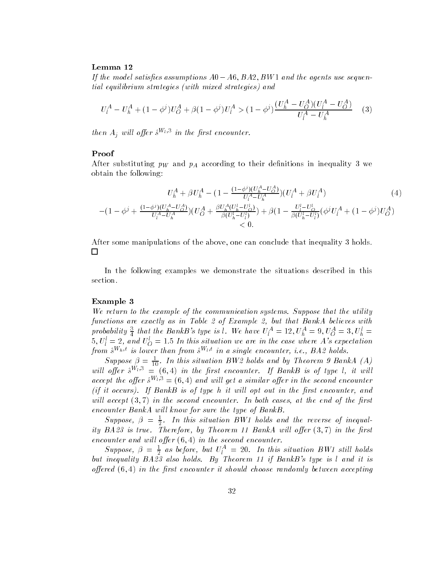# Lemma

If the model satisfies assumptions  $A0 - A6$ ,  $B A2$ ,  $B W1$  and the agents use sequential equilibrium strategies -with mixed strategies and

$$
U_l^A - U_h^A + (1 - \phi^j)U_O^A + \beta (1 - \phi^j)U_l^A > (1 - \phi^j) \frac{(U_h^A - U_O^A)(U_l^A - U_O^A)}{U_l^A - U_h^A} \tag{3}
$$

 $then A_j$  will offer such the finite finite measurer.

#### Proof

After substituting  $p_W$  and  $p_A$  according to their definitions in inequality 3 we obtain the following

$$
U_h^A + \beta U_h^A - (1 - \frac{(1 - \phi^j)(U_h^A - U_O^A)}{U_I^A - U_A^A})(U_I^A + \beta U_I^A)
$$
(4)  
 
$$
-(1 - \phi^j + \frac{(1 - \phi^j)(U_h^A - U_O^A)}{U_I^A - U_h^A})(U_O^A + \frac{\beta U_h^A (U_h^l - U_O^l)}{\beta (U_h^l - U_I^l)}) + \beta (1 - \frac{U_I^l - U_O^l}{\beta (U_h^l - U_I^l)}(\phi^j U_I^A + (1 - \phi^j) U_O^A)
$$
(4)  

$$
< 0.
$$

After some manipulations of the above- one can conclude that inequality holds □

In the following examples we demonstrate the situations described in this section

#### Example

We return to the example of the communication systems. Suppose that the utility functions are exactly as in Table 2 of Example 2, but that BankA believes with probability  $\frac{1}{4}$  that the BankB's type is t. We have  $U_l^+ = 12, U_h^+ = 9, U_O^- = 3, U_h^- = 1$  $5, U^l_l = 2,$  and  $U^l_O = 1.5$  In this situation we are in the case where A's expectation from  $\hat{s}^{W_h,t}$  is lower than from  $\hat{s}^{W_l,t}$  in a single encounter, i.e., BA2 holds.

Suppose  $p = \frac{1}{10}$ . In this situation BW z holds and by Theorem 9 BankA (A) will offer  $\hat{s}^{W_l,3} = (6,4)$  in the first encounter. If BankB is of type l, it will accept the offer  $\hat{s}^{W_l,3} = (6,4)$  and will get a similar offer in the second encounter if it occurs If  $\mathcal{B}$  is one in the interval optimization in the rst encounter  $\mathcal{B}$ will accept  $(3,7)$  in the second encounter. In both cases, at the end of the first  $encounter BankA$  will know for sure the type of BankB.

Suppose,  $p = \frac{1}{2}$ . In this situation BW1 notas and the reverse of inequality Baasic is true Birst place of Birst and Bankings will open the theorem in the state of the state of the st encounter and will offer  $(6, 4)$  in the second encounter.

Suppose,  $\beta = \frac{1}{2}$  as before, but  $U_l^+ = 20$ . In this situation BW1 still holds but inequality BA also holds By Theorem if BankB s type is l and it is offered  $(6, 4)$  in the first encounter it should choose randomly between accepting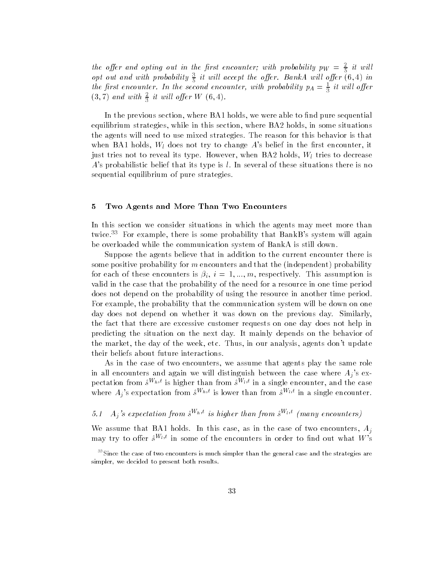the offer and opting out in the first encounter; with provability  $p_W \; = \; \frac{1}{5}$  it will opt out ana with probability  $\frac{1}{x}$  it will accept the offer. BankA will offer  $(6,4)$  in the first encounter. In the second encounter, with probability  $p_A = \frac{1}{3}$  it will offer  $(3, 1)$  and with  $\frac{1}{2}$  it will offer W  $(0, 4)$ .

In the previous section- where BA holds- we were able to nd pure sequential equilibrium strategies, while in this section, while in this section, where  $\alpha$ the agents will need to use mixed strategies The reason for this behavior is that when  $\mathcal{W}$  is the rest encounter-to-change  $\mathcal{W}$  . The rst encounter-to-change  $\mathcal{W}$ just tries not to reveal its type However- when BA holds- Wl tries to decrease A's probabilistic belief that its type is l. In several of these situations there is no sequential equilibrium of pure strategies

#### Two Agents and More Than Two Encounters

In this section we consider situations in which the agents may meet more than twice.<sup>--</sup> For example, there is some probability that BankB s system will again be overloaded while the communication system of BankA is still down

Suppose the agents believe that in addition to the current encounter there is some positive probability for  $m$  encounters and that the (independent) probability for each of these encounters is in the set of these encounters is in the set of the set of the set of the set of the set of the set of the set of the set of the set of the set of the set of the set of the set of the set o valid in the case that the probability of the need for a resource in one time period does not depend on the probability of using the resource in another time period For example- the probability that the communication system will be down on one day does not depend on whether it was down on the previous day. Similarly, the fact that there are excessive customer requests on one day does not help in predicting the situation on the next day It mainly depends on the behavior of the market-day of the week-the week-the week-the-day of the week-the-day of the-day of the-day of the-day of th their beliefs about future interactions

As in the case of two encounters-definition  $\mathcal{U}$  that agents play the same role of the same role of the same role of the same role of the same role of the same role of the same role of the same role of the same role o in all encounters and again we will distinguish between the case where Aj s ex pectation from  $s \ll 1$  is higher than from  $s \ll 1$ n a single encounter, and the case where  $A_j$ 's expectation from  $\hat{s}^{W_h,t}$  is lower than from  $\hat{s}^{W_l,t}$  in a single encounter.

# $\mathcal{A}_i$  is expectation from s  $\mathcal{B}_i$  is higher than from s  $\mathcal{B}_i$  (many encounters)

We assume that BA holds In this case of two encounters-two encounters-two encounters-two encountersmay try to oner  $s \ll r$  in some of the encounters in order to find out what  $W$  s

<sup>&</sup>lt;sup>33</sup>Since the case of two encounters is much simpler than the general case and the strategies are simpler, we decided to present both results.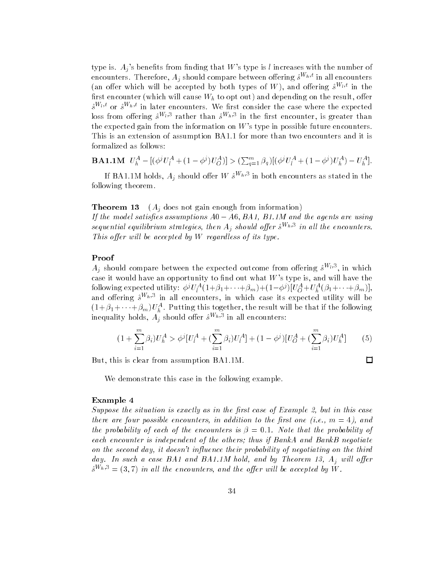type is.  $A_j$ 's benefits from finding that W's type is l increases with the number of encounters. Therefore,  $A_j$  should compare between onering  $s \ll 1$ n all encounters (an oner which will be accepted by both types of  $W$  ), and onering  $s \rightarrow \cdots$  in the rst encounter which will cause will cause out and depending on the result-of- $\hat{s}^{W_l,t}$  or  $\hat{s}^{W_h,t}$  in later encounters. We first consider the case where the expected  $\max$  from onering  $s\ll 1$  -rather than  $s\ll 0$ . In the first encounter, is greater than the expected gain from the information on  $W$ 's type in possible future encounters. This is an extension of assumption BA1.1 for more than two encounters and it is formalized as follows

**BA1.1M** 
$$
U_h^A - [(\phi^j U_l^A + (1 - \phi^j) U_O^A)] > (\sum_{q=1}^m \beta_q) [(\phi^j U_l^A + (1 - \phi^j) U_h^A) - U_h^A].
$$

If BAT.IM holds,  $A_j$  should oner W  $s^{+n_j+1}$ n both encounters as stated in the following theorem

### **Theorem 13**  $(A_i$  does not gain enough from information)

If the model satisfies assumptions  $A0 - A6$ ,  $BA1$ ,  $B1.1M$  and the agents are using  ${\it sequence}$  sequential equilibrium strategies, then  $A_j$  should offer  $s^{\dots m}$  in all the encounters. This offer will be accepted by  $W$  regardless of its type.

#### Proof

 $A_j$  should compare between the expected outcome from offering  $s^{\dots}$  , in which case it would have the spectrum it was the model who will have the will have what where the contract of the se following expected utility:  $\phi^j U_l^A (1+\beta_1+\cdots+\beta_m) + (1-\phi^j)[U_O^A + U_h^A(\beta_1+\cdots+\beta_m)],$ and onering  $s^{+n+1}$  in all encounters, in which case its expected utility will be  $(1+\beta_1+\cdots+\beta_m)U^A_h$ . Putting this together, the result will be that if the following inequality holds,  $A_j$  should offer  $s^{\ldots n_j}$  in all encounters:

$$
(1 + \sum_{i=1}^{m} \beta_i)U_h^A > \phi^j[U_l^A + (\sum_{i=1}^{m} \beta_i)U_l^A] + (1 - \phi^j)[U_O^A + (\sum_{i=1}^{m} \beta_i)U_h^A] \tag{5}
$$

But-is is clear from assumption BAM assumption BAM assumption BAM assumption BAM assumption BAM assumption BAM

$$
\square
$$

We demonstrate this case in the following example.

# Example

Suppose the situation is exactly as in the first case of Example 2, but in this case there are four possible encounters in addition to the first one - in all all when  $\sim$ the probability of each of the encounters is " - Note that the probability of each encounter is independent of the others; thus if BankA and BankB negotiate on the second day it doesn t inuence their probability of negotiating on the third day. In such a case BA1 and BA1.1M hold, and by Theorem 13,  $A_j$  will offer  $\hat{s}^{W_h,3} = (3,7)$  in all the encounters, and the offer will be accepted by W.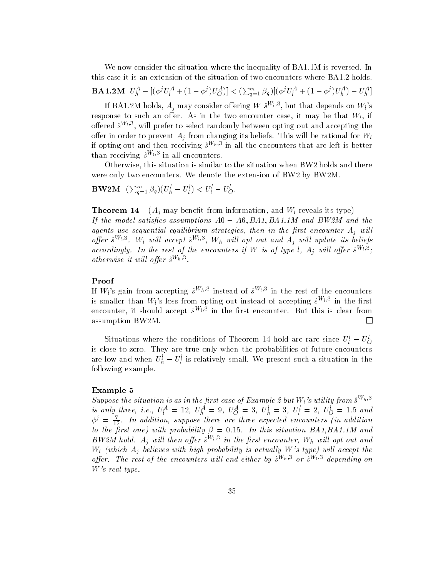We now consider the situation where the inequality of  $B A1.1M$  is reversed. In this case it is an extension of the situation of two encounters where BA1.2 holds.

 $\textbf{BA1.2M} \;\; U_h^A - [(\phi^{\jmath}U_l^A + (1-\phi^{\jmath})U_O^A)] < (\sum_{q=1}^m \beta_q) [(\phi^{\jmath}U_l^A + (1-\phi^{\jmath})U_h^A) - U_h^A]$ 

If BAT.2M holds,  $A_i$  may consider onering W  $s \ll \gamma$ , but that depends on W  $\gamma$  s response to such an outcome to such an outcome to such an outcome to the two encounter caseonered  $s \ll 0$ , will prefer to select randomly between opting out and accepting the our in order to prevent Aj from changing its beliefs This will be rational for William if opting out and then receiving  $s^{m_{i+1}}$  in all the encounters that are left is better  $\blacksquare$  $\tan$  receiving  $s^{new}$  in all encounters.

Otherwise-this situation is situation is similar to the situation when  $\alpha$  is situation when  $\alpha$ were only two encounters. We denote the extension of BW2 by BW2M.

$$
\mathbf{B}\mathbf{W2M} \quad (\textstyle\sum_{q=1}^m \beta_q)(U_h^l-U_l^l)< U_l^l-U_O^l.
$$

— Af a failure in the second from its type from information-theorem in the failure in the failure of the second If the model satisfies assumptions  $A0 - A6$ , BA1, BA1.1M and BW2M and the agents use sequential equilibrium strategies, then in the first encounter  $A_i$  will offer state. We will accept state, W<sub>h</sub> will opt out and  $A_j$  will update its beliefs accoraingly. In the rest of the encounters if W is of type  $\iota$ ,  $A_j$  will offer  $s\llcorner\llcorner$ ; otherwise it will offer  $s^{max}$ .

If  $W_l$  s gain from accepting  $s^{1/n+1}$  instead of  $s^{1/n+1}$  in the rest of the encounters is smaller than  $W_l$  s loss from opting out instead of accepting  $s^{\omega_l}$  in the first encounter, it should accept  $s^{\dots}$  in the first encounter. Dut this is clear from  $\Box$ assumption BW2M.

Situations where the conditions of Theorem 14 hold are rare since  $U_l^l - U_O^l$ is close to zero. They are true only when the probabilities of future encounters are low and when  $U_h^l-U_l^l$  is relatively small. We present such a situation in the following example

# Example

Suppose the situation is as in the first case of Example 2 but Wl s utility from  $s^{n}$   $\cdots$ is only three, i.e.,  $U_l = 12$ ,  $U_h = 9$ ,  $U_O = 3$ ,  $U_h = 3$ ,  $U_l = 2$ ,  $U_O = 1.3$  and  $\phi^3 = \frac{1}{12}$ . In addition, suppose there are three expected encounters (in addition to the probability with probability processes with this change were and the situation of the situation of the s  $B$  W zm nota.  $A_j$  will then offer swarp in the first encounter, W  $_{h}$  will opt out and which and an alternatives with  $\mathcal{W}$  and  $\mathcal{W}$  the will actual ly Ws type will actual ly  $\mathcal{W}$ offer. The rest of the encounters will end either by  $s^{\otimes n}$  or  $s^{\otimes n}$  depending on where the contract of the contract of the contract of the contract of the contract of the contract of the contract of the contract of the contract of the contract of the contract of the contract of the contract of the cont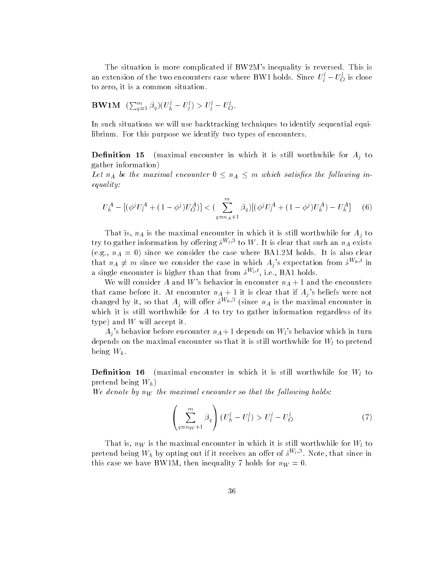The situation is more complicated if  $BW2M$ 's inequality is reversed. This is an extension of the two encounters case where BW1 holds. Since  $U^l_l-U^l_O$  is close to zero- it is a common situation

$$
\mathbf{B}\mathbf{W}\mathbf{1}\mathbf{M} \quad (\sum_{q=1}^m \beta_q)(U_h^l - U_l^l) > U_l^l - U_O^l.
$$

In such situations we will use backtracking techniques to identify sequential equi librium. For this purpose we identify two types of encounters.

**Definition 15** (maximal encounter in which it is still worthwhile for  $A_i$  to gather information

Let  $n_A$  be the maximal encounter  $0 \leq n_A \leq m$  which satisfies the following inequality

$$
U_h^A - [(\phi^j U_l^A + (1 - \phi^j) U_O^A)] < \left(\sum_{q=n_A+1}^m \beta_q\right) [(\phi^j U_l^A + (1 - \phi^j) U_h^A) - U_h^A] \tag{6}
$$

 $\mathcal{I}$  is the maximal encounter in which is still wordhamping in which it is still wordhamping in  $\mathcal{I}$ try to gather information by onering  $s \sim 0$  to W . It is clear that such an  $n_A$  exists  $\mathcal{L}^{\infty}(\mathcal{A})$  . The since we consider the case where  $\mathcal{A}$  is also clear  $\mathcal{A}$ that  $n_A \neq m$  since we consider the case in which  $A_j$ 's expectation from  $\hat{s}^{W_h,t}$  in a single encounter is migher than that from  $s \ll 1$  , i.e.,  $\mathtt{BAL}$  noids.

We will consider A and W's behavior in encounter  $n_A + 1$  and the encounters that came before it. At encounter  $n_A + 1$  it is clear that if  $A_j$ 's beliefs were not changed by it, so that  $A_j$  will oner  $s^{1/n+1}$  (since  $n_A$  is the maximal encounter in which it is still worthwhile for  $A$  to try to gather information regardless of its type) and  $W$  will accept it.

 $A_j$ 's behavior before encounter  $n_A+1$  depends on  $W_l$ 's behavior which in turn depends on the maximal encounter so that it is still worthwhile for  $W_l$  to pretend being  $W_h$ .

**Definition 16** (maximal encounter in which it is still worthwhile for  $W_l$  to pretend being  $W_h$ )

We denote by  $n_W$  the maximal encounter so that the following holds:

$$
\left(\sum_{q=n_W+1}^{m} \beta_q \right) (U_h^l - U_l^l) > U_l^l - U_O^l \tag{7}
$$

That is the maximal encounter in which is still worth it is still worth in which it is still word word with the pretend being  $w_h$  by opting out if it receives an offer of  $s^{\dots}$  . Note, that since in this case we have  $\mathbf{h}$  in the inequality interval interval interval in  $\mathbf{M}$  . Then interval interval in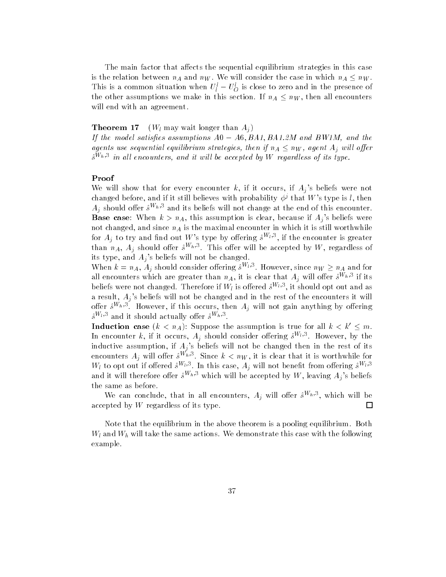The main factor that a economic that a economic in this case in this case in this case in this case in this case in this case in this case in this case in this case in this case in this case in this case in this case in t is the relation between  $n_A$  and  $n_W$ . We will consider the case in which  $n_A \leq n_W$ . This is a common situation when  $U_l^l-U_O^l$  is close to zero and in the presence of the other assumptions we make in this section. If  $n_A \leq n_W$ , then all encounters will end with an agreement.

# **Theorem 17** (*W*<sub>l</sub> may wait longer than  $A_j$ )

If the model satisfies assumptions  $A0 - A6$ ,  $BA1$ ,  $BA1.2M$  and  $BW1M$ , and the agents use sequential equilibrium strategies, then if  $n_A \leq n_W$ , agent  $A_j$  will offer  $s^{+n+1}$  in all encounters, and it will be accepted by W regardless of its type.

#### Proof

We will show that for every encounter that for every encounter  $\mu$  and  $\mu$  show the linear second second second second second second second second second second second second second second second second second second se changed before, and if it still believes with probability  $\phi$  that W is type is  $\iota$ , then  $A_j$  should oner  $s^{+n,\ast}$  and its beliefs will not change at the end of this encounter. e this assumption is assumption in  $\mathcal{A}$  , then the distribution is clear-field were the sequence of the li not changed-up that the maximal encounter in the maximal encounter in which it is still worthwhile. for  $A_j$  to try and nnd out W s type by onering  $s^{\dots}$  , if the encounter is greater than  $n_A, A_j$  should oner  $s^{+n+1}$ . This oner will be accepted by  $W$ , regardless of its type- and Aj s beliefs will not be changed

When  $k = n_A, A_j$  should consider offering  $\hat{s}^{W_l,3}$ . However, since  $n_W \geq n_A$  and for an encounters which are greater than  $n_A$ , it is clear that  $A_j$  will oner  $s^{+n+1}$  it its beliefs were not changed. Therefore if  $W_l$  is onered  $s\llcorner\llcorner$  , it should opt out and as a result-to be changed and in the rest of the rest of the rest of the encounters it will be completed and it will oner  $s^{+n+1}$ . However, it this occurs, then  $A_j$  will not gain anything by onering  $s \sim$  and it should actually offer  $s \sim$ .

**Induction case**  $(k < n_A)$ : Suppose the assumption is true for all  $k < k' \leq m$ . In encounter  $\kappa$ , if it occurs,  $A_j$  should consider onering  $s^{\gamma,\gamma}$ . However, by the inductive assumption-deterministic  $\Omega$ encounters  $A_j$  will oner  $s^{+n+1}$ . Since  $\kappa < n_W$ , it is clear that it is worthwhile for  $W_l$  to opt out if offered  $s^{n_l}$  . In this case,  $A_j$  will not benefit from offering  $s^{n_l}$ and it will therefore offer  $s^{1/n+1}$  which will be accepted by  $W$  , leaving  $A_j$  s beliefs the same as before

We can conclude, that in all encounters,  $A_i$  will oner  $s^{n_i}$ , which will be accepted by  $W$  regardless of its type.  $\Box$ 

Note that the equilibrium in the above theorem is a pooling equilibrium. Both  $W_l$  and  $W_h$  will take the same actions. We demonstrate this case with the following example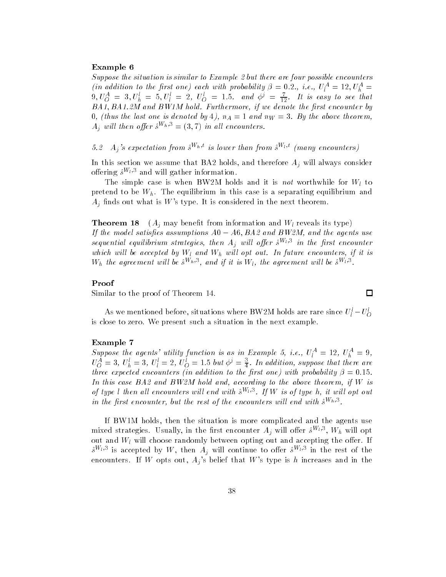# Example

Suppose the situation is similar to Example 2 but there are four possible encounters (in data to the first one) each with probability  $\rho = 0.2$ , i.e.,  $U_l^* = 12, U_h^* =$  $\Theta, U_O^{\perp} = 3, U_h^{\perp} = 5, U_l^{\perp} = 2, U_O^{\perp} = 1.5.$  and  $\phi^{\perp} = \frac{1}{12}.$  It is easy to see that  $B_{\rm eff}$  band  $B_{\rm eff}$  and  $B_{\rm eff}$  and  $B_{\rm eff}$  if we denote the rst encounter by denote the rst encounter by  $\sigma$  , the last one is denoted by  $\sigma$  , and  $\sigma$  and  $\sigma$   $\sigma$  and  $\sigma$  are more is denoted by  $A_i$  will then offer  $\hat{s}^{W_h,3} = (3,7)$  in all encounters.

# $\sigma$ ,  $\sigma$   $\lambda$  is expectation from  $s$   $\sim$  is lower than from  $s$   $\sim$  (many encounters)

In this section we assume that  $B$  holds-dimensional always considerable  $A$  will always considerable  $A$ onering  $s \rightarrow s$  and will gather information.

The simple case is when BW2M holds and it is *not* worthwhile for  $W_l$  to pretend to be  $W_h$ . The equilibrium in this case is a separating equilibrium and  $A_j$  finds out what is  $W$ 's type. It is considered in the next theorem.

**Theorem 18** ( $A_j$  may benefit from information and  $W_l$  reveals its type) If the model satisfies assumptions  $A0 - A6$ ,  $BA2$  and BW2M, and the agents use sequential equilibrium strategies, then  $A_j$  will offer same in the first encounter  $\hspace{0.1mm}$ which will be accepted by  $W_l$  and  $W_h$  will opt out. In future encounters, if it is W<sub>h</sub> the agreement will be s  $\mathbb{R}^n$ , and if it is Wl, the agreement will be s  $\mathbb{R}^n$ .

# Proof

Similar to the proof of Theorem 14.

 $\Box$ 

As we mentioned before, situations where BW2M holds are rare since  $U_l^l-U_O^l$ is close to zero. We present such a situation in the next example.

# Example

Suppose the agents utility function is as in Example 5, i.e.,  $U_l^{\perp} = 12, U_h^{\perp} = 8$  $n \qquad \qquad$  "  $U_{\tilde{O}} = 3$ ,  $U_{\tilde{h}} = 3$ ,  $U_{\tilde{l}} = 2$ ,  $U_{\tilde{O}} = 1.3$  but  $\phi^{\mu} = \frac{1}{4}$ . In addition, suppose that there are three expected encounters - in addition to the rest one with probability  $\mathbf{r}$  - in addition to the probability in In this case  $BA$  and  $BW2M$  hold and, according to the above theorem, if W is of type t then all encounters will end with  $s \ll 1$  if W is of type h, it will opt out in the first encounter, but the rest of the encounters will end with  $s^{m+1}$ .

if Bwam holds-then the situation is more complicated and the agents used the agents used mixed strategies. Usually, in the first encounter  $A_j$  will oner  $s^{\dots, \dots}, \, w_h$  will opt out and Wl will choose randomly between opting out and accepting the o er If  $s^{100}$  is accepted by W, then  $A_j$  will continue to oner  $s^{100}$  in the rest of the encounters If W opts out- If you have increased that W optimization is the contrelled that was the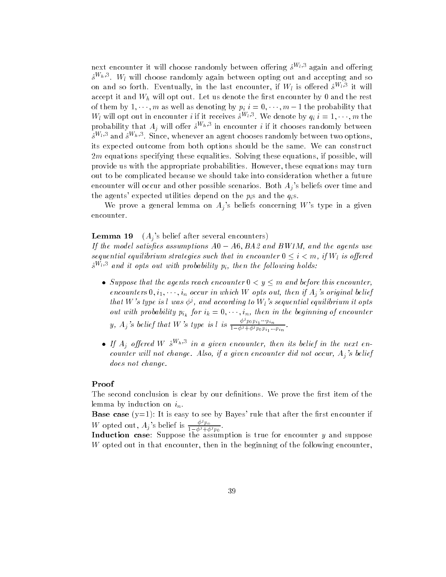$\max$ t encounter it will choose randomly between onering  $s\ll T$  again and onering  $s^{+n+1}$ . Wi will choose randomly again between opting out and accepting and so on and so forth. Eventually, in the last encounter, if  $W_l$  is onered  $s^{m+1}$  it will accept it and  $W_h$  will opt out. Let us denote the first encounter by 0 and the rest of them by 1,  $\ldots$ , m as well as denoting by  $p_i$   $i = 0, \ldots, m-1$  the probability that  $W_l$  will opt out in encounter i if it receives  $\hat{s}^{W_l,3}$ . We denote by  $q_i$  i = 1,  $\cdots$ , m the probability that  $A_j$  will oner  $s \leq r$  in encounter  $i$  if it chooses randomly between  $s$  we and  $s$  (which, whenever an agent chooses randomly between two options, its expected outcome from both options should be the same. We can construct message is the second these equations is second, these equations- equations-  $\mathcal{L}_{\mathcal{A}}$ provide us with the appropriate probabilities However- these equations may turn out to be complicated because we should take into consideration whether a future encounter will occur and other possible scenarios. Both  $A_j$ 's beliefs over time and the agents' expected utilities depend on the  $p_i$ s and the  $q_i$ s.

We prove a general lemma on  $A_j$ 's beliefs concerning W's type in a given encounter

# **Lemma 19** ( $A_i$ 's belief after several encounters)

If the model satisfies assumptions  $A0 - A6$ ,  $BA2$  and  $BW1M$ , and the agents use sequential equilibrium strategies such that in encounter  $0 \leq i \leq m$ , if  $W_l$  is offered  $\hat{s}^{W_l,3}$  and it opts out with probability  $p_i$ , then the following holds:

- Suppose that the agents reach encounter  $0 < y < m$  and before this encounter. encounters  $0, i_1, \dots, i_n$  occur in which W opts out, then if  $A_i$  's original belief that  $W$  stype is twas  $\varphi$ , and according to  $W_l$  s sequential equilibrium it opts out with probability  $p_{i_k}$  for  $i_k = 0, \dots, i_n$ , then in the beginning of encounter y,  $A_i$ 's belief that W's type is l is  $\frac{\varphi^{\circ} \text{p}_{0} p_{i_1} \cdots p_{i_n}}{1 - \varphi^{\circ} \text{p}_{0} p_{i_1} \cdots p_{i_n}}$  $1 - \phi^j + \phi^j p_0 p_{i_1} \cdots p_{i_n}$
- If  $A_i$  offered W  $\hat{s}^{W_h,3}$  in a given encounter, then its belief in the next encounter will not changer this play with the sheet did not occur at  $\mathcal{I}$ does not change.

#### Proof

The second conclusion is clear by our definitions. We prove the first item of the lemma by induction on  $i_n$ .

**Base case**  $(y=1)$ : It is easy to see by Bayes' rule that after the first encounter if W opted out,  $A_j$ 's belief is  $\frac{\varphi^2 p_o}{1 - \phi^j + \phi^j p_o}$ .

Induction case Suppose the assumption is true for encounter y and suppose we opten that in the counter-that in the beginning of the following entry  $\mathcal{L}_{\mathbf{t}}$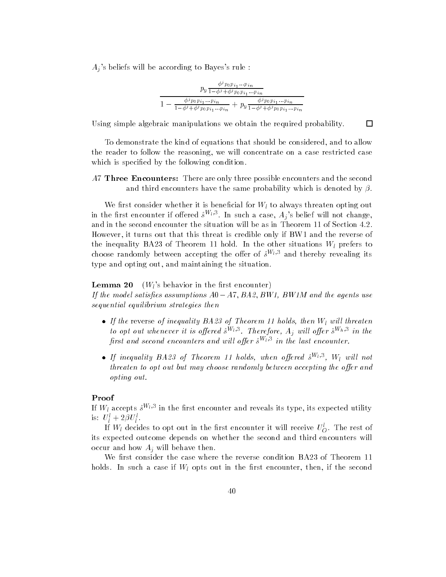$A_j$ 's beliefs will be according to Bayes's rule :

$$
\frac{p_y \frac{\phi^j p_0 p_{i_1} \dots p_{i_n}}{1 - \phi^j + \phi^j p_0 p_{i_1} \dots p_{i_n}}}{1 - \frac{\phi^j p_0 p_{i_1} \dots p_{i_n}}{1 - \phi^j + \phi^j p_0 p_{i_1} \dots p_{i_n}} + p_y \frac{\phi^j p_0 p_{i_1} \dots p_{i_n}}{1 - \phi^j + \phi^j p_0 p_{i_1} \dots p_{i_n}}}
$$

Using simple algebraic manipulations we obtain the required probability

 $\Box$ 

To demonstrate the kind of equations that should be considered- and to allow the reader to follow the reasoning-to-follow the reasoning-to-follow the restricted case  $\mathcal{C}(\mathcal{M})$ which is specified by the following condition.

 $A$ 7 Three Encounters: There are only three possible encounters and the second and third encounters have the same probability which is denoted by  $\beta$ .

We first consider whether it is beneficial for  $W_l$  to always threaten opting out in the first encounter if offered  $s^{\dots}$  . In such a case,  $A_j$  s belief will not change, and in the second encounter the situation will be as in Theorem 11 of Section 4.2. However- it turns out that this threat is credible only if BW and the reverse of the inequality BA23 of Theorem 11 hold. In the other situations  $W_l$  prefers to choose randomly between accepting the offer of  $s\llcorner\lq\urcorner$  and thereby revealing its type and maintaining out-the situation of  $\mathbf{A}$ 

# **Lemma 20** ( $W_l$ 's behavior in the first encounter)

If the model satisfies assumptions  $A0 - A7$ ,  $BA$ ,  $BWI$ ,  $BWM$  and the agents use sequential equilibrium strategies then

- If the reverse of inequality BA23 of Theorem 11 holds, then  $W_l$  will threaten If the reverse of inequality BA of Theorem is the set of the  $\mathcal{A}$ to opt out whenever it is offered substitutionally  $A_j$  will offer substitution.  $\mu$ rst and second encounters and will offer since the last encounter.
- If inequality BA23 of Theorem 11 holds, when offered  $\hat{s}^{W_1,3}$ ,  $W_l$  will not threaten to opt out but may choose randomly between accepting the offer and opting out

# Proof

If  $W_l$  accepts  $s^{\dots, s-}$  in the first encounter and reveals its type, its expected utility is:  $U_l + 2\rho U_l$ .

If  $W_l$  decides to opt out in the first encounter it will receive  $U_O$ . The rest of its expected outcome depends on whether the second and third encounters will occur and how  $A_j$  will behave then.

We first consider the case where the reverse condition  $BA23$  of Theorem 11 if the such a case if the second  $\{f_i\}$  if  $f$  is the rate rate of the seconducted in the seconducted in the seconducted in the seconducted in the seconducted in the seconducted in the seconducted in the seconducted in t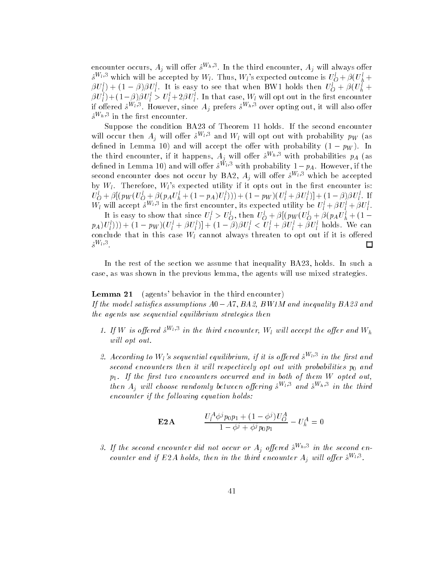encounter occurs,  $A_j$  will oner  $s^{+n+1}$ . In the third encounter,  $A_j$  will always oner  $s^{10.5}$  which will be accepted by  $W_l$ . Thus,  $W_l$  s expected outcome is  $U_O + P(U_h + I)$  $\beta U^l_l$ ) +  $(1-\beta)\beta U^l_l$ . It is easy to see that when BW1 holds then  $U^l_O$  +  $\beta (U^l_h$  +  $\beta U^l_l) + (1-\beta)\beta U^l_l > U^l_l + 2\beta U^l_l.$  In that case,  $W_l$  will opt out in the first encounter If onered  $s \sim$  . However, since  $A_j$  prefers  $s \sim$   $s \sim$  over opting out, it will also oner  $s_{\perp}$  and the first encounter.

Suppose the condition BA23 of Theorem 11 holds. If the second encounter will occur then  $A_j$  will oner  $s \leq s$  and  $W_l$  will opt out with probability  $p_W$  (as defined in Lemma 10) and will accept the offer with probability  $(1 - p_W)$ . In the third encounter, if it happens,  $A_j$  will oner  $s^{+n,+}$  with probabilities  $p_A$  (as defined in Lemma 10) and will offer  $\hat{s}^{W_l,3}$  with probability  $1-p_A$ . However, if the second encounter does not occur by  $\mathbf{B}\mathbf{A}\mathbf{z},\ \mathbf{A}_i$  will oner  $\mathbf{s}^{**}$  which be accepted by Winterfore- Winterfore- Winterfore- Winterfore- Winterfore- Winterfore- Winterfore- Interference in the rst encounter is the rst encounter in the rst encounter is a state of the rst encounter is a state of the rst encou  $U_Q^l + \beta [(p_W(U_Q^l + \beta(p_A U_h^l + (1-p_A)U_l^l))) + (1-p_W)(U_l^l + \beta U_l^l)] + (1-\beta)\beta U_l^l$ . If  $w_l$  will accept  $s^{\ldots}$  in the first encounter, its expected utility be  $v_l + \rho v_l + \rho v_l$ .

It is easy to show that since  $U_l^l > U_O^l$ , then  $U_O^l + \beta[(p_W(U_O^l + \beta(p_A U_h^l + (1$  $p_A(U_l^l))$  +  $(1-p_W)(U_l^l + \beta U_l^l)] + (1-\beta)\beta U_l^l < U_l^l + \beta U_l^l + \beta U_l^l$  holds. We can conclude that in the there were  $\{v_i\}$  cannot always threaten threaten to option to out if it is optional. 口  $s$   $\cdots$ 

In the rest of the section we assume that inequality BA- holds In such a case- as was shown in the previous lemma- the agents will use mixed strategies

# **Lemma 21** (agents' behavior in the third encounter)

If the model satisfies assumptions  $A0 - A7$ ,  $BA$ , BW1M and inequality BA23 and the agents use sequential equilibrium strategies then

- 1. If W is offered since in the third encounter,  $W_l$  will accept the offer and  $W_h$ will opt out.
- z. Accoraing to  $w_l$  s sequential equilibrium,  $\eta$  it is offered switch the first and second encounters district with respectively opt out with probabilities pQ distri  $p_1$ . If the first two encounters occurred and in both of them W opted out, then  $A_i$  will choose randomly between offering such and such the third  $\blacksquare$  $\emph{encounter if the following equation holds:}$

**E2A** 
$$
\frac{U_l^A \phi^j p_0 p_1 + (1 - \phi^j) U_O^A}{1 - \phi^j + \phi^j p_0 p_1} - U_h^A = 0
$$

3. If the second encounter ata not occur or  $A_j$  offered states in the second encounter and if EZA holds, then in the third encounter  $A_j$  will offer substitution.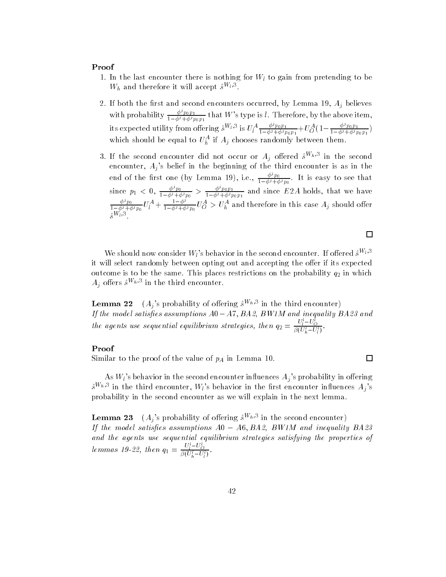# Proof

- 1. In the last encounter there is nothing for  $W_l$  to gain from pretending to be  $W_h$  and therefore it will accept  $s^{m+1}$ .
- if both the rate occurred-second contractions occurred-  $\alpha$  ,  $\beta$  is a contract the  $\beta$  -rate  $\beta$  contracts with probability  $\frac{\varphi^3 \cdot p_0 p_1}{\cdots}$  $j = \phi^j + \phi^j p_0 p_1$  is  $\phi^j$  to the above items in  $\phi^j$ its expected utility from offering  $\hat{s}^{W_l,3}$  is  $U_l^A\frac{\varphi^2\ p_0p_1}{1-\phi^j+\phi^j\,p_0p_1}$  $\frac{\frac{\phi}{\rho} \cdot p_0 p_1}{1 - \phi^j + \phi^j p_0 p_1} + U^A_O \left(1 - \frac{\phi^j p_0 p_1}{1 - \phi^j + \phi^j p_0 p_1}\right)$  $1 - \phi^{j} + \phi^{j} p_0 p_1$ which should be equal to  $U_h^{\perp}$  if  $A_j$  chooses randomly between them.
- 3. If the second encounter ald not occur or  $A_j$  offered  $s^{\dots n}$  in the second encounter, in the best in the beginning of the third encounter is as in the third end of the first one (by Lemma 19), i.e.,  $\frac{\varphi \circ p_0}{1 - \phi^j + \phi^j p_0}$  $\cdots$  is the set  $\cdots$ since  $p_1 < 0, \frac{\varphi \circ p_0}{1 - \phi^j + \phi^j p_0} > \frac{\varphi \circ p_0 p_1}{1 - \phi^j + \phi^j p_0 p_1}$  $1 - \phi^j + \phi^j p_0 p_1$  and since Equation extends, the since  $\phi^j$  $\frac{\psi^2 p_0}{1-\phi^j+\phi^j p_0} U_l^A + \frac{1-\psi^j}{1-\phi^j+\phi^j p_0}$  $\frac{1-\phi^j+\phi^j p_0}{\phi^j}U_O^{\sigma} \geq U_h^{\tau}$  and therefore in this case  $A_j$  should offer  $s$  with  $\sim$

We should now consider  $W_l$  s behavior in the second encounter. If offered  $\mathcal{S}^{(l)}$ it will select randomly between opting out and accepting the o er if its expected outcome is to be the same This place places restrictions on the probability  $\eta$  are there.  $A_j$  oners  $s^{+n},\,$  in the third encounter.

**Lemma 22** ( $A_i$  s probability of offering  $s^{\dots}$ ) in the third encounter) If the model satisfies assumptions  $A0 - A7$ ,  $BA$ <sup>2</sup>,  $BW1M$  and inequality  $BA$ 23 and the agents use sequential equilibrium strategies, then  $q_2 = \frac{U_1 - U_O}{\beta (H - H)}$ .  $P(V_h^- - V_l)$ 

# Proof

Similar to the proof of the value of  $p_A$  in Lemma 10.

 $\Box$ 

 $\Box$ 

As Wls behavior in the second encounter inuences Aj s probability in o ering  $s^{\dots n},$  in the third encounter,  $W_l$  s behavior in the first encounter influences  $A_j$  s probability in the second encounter as we will explain in the next lemma

**Lemma 23** ( $A_j$  s probability of offering  $s^{m,n+1}$  in the second encounter) If the model satisfies assumptions  $A0 - A6$ ,  $BA$ <sup>2</sup>,  $BW1M$  and inequality  $BA$ <sup>23</sup> and the agents use sequential equilibrium strategies satisfying the properties of lemmas 19-22, then  $q_1 = \frac{U_l - U_O}{\rho (H_l - H_l)}$ .  $PU_h - U_l$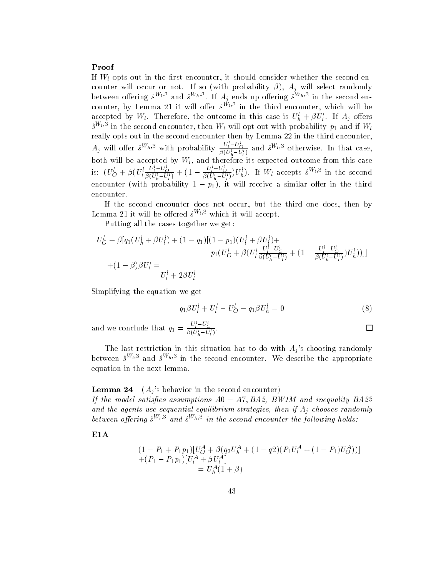# Proof

the character in the rate and the second considered the second consideration when the second consider  $\sim$ counter will occur or note it as a function probability  $\mu$   $\mu$  , and will select randomly and between offering  $s^{m}$  and  $s^{m}$ . If  $A_i$  ends up offering  $s^{m}$ . In in the second ends up of the second ends up of the second ends up to a second end of the second ends of the second ends of the second ends of the second ends of the second ends of the second ends of the second ends of the counter, by Lemma  $z_1$  it will oner  $s_1 \cdots$  in the third encounter, which will be accepted by W<sub>l</sub>. Therefore, the outcome in this case is  $U_h^+ + \rho U_l^+$ . If  $A_j$  oners  $s^{10.9}$  in the second encounter, then  $W_l$  will opt out with probability  $p_1$  and if  $W_l$ really opts out in the second encounter then by Lemma 22 in the third encounter.  $A_i$  will offer  $\hat{s}^{W_h,3}$  with probability  $\frac{U_i - U_O}{\hat{s}(H_i - H_i)}$  a  $\overline{U_l^l)}$  and  $s^{1,1,2}$  otherwise. In that case,  $P(U_h$ both will be accepted by Wi- , and there its expected output the case of the from the from this case of this c  $\frac{U_l - U_O}{\beta (U_h^l - U_l^l)} + (1 - \frac{U_l - U_O}{\beta (U_h^l - U_l^l)})U_l$  $U_l$ <sup>- $U_O$ </sup>  $I$  $\overline{\beta(U_h^l-U_l^l)}$   $U_h$ ). If  $W_l$  accepts  $s^{(l)}$ . In the second is:  $U_O + P(U_i)$ encounter (with probability  $1 - p_1$ ), it will receive a similar offer in the third encounter.

If the second encounter does not occur- but the third one does- then by  ${\scriptstyle\rm L}$ emma  ${\scriptstyle\rm Z}$ i it will be offered  ${\scriptstyle\rm S}$  we which it will accept.

Putting all the cases together we get

$$
U_O^l + \beta [q_1 (U_h^l + \beta U_l^l) + (1 - q_1)[(1 - p_1)(U_l^l + \beta U_l^l) +
$$
  
\n
$$
p_1 (U_O^l + \beta (U_l^l \frac{U_l^l - U_O^l}{\beta (U_h^l - U_l^l)}) + (1 - \frac{U_l^l - U_O^l}{\beta (U_h^l - U_l^l)})U_h^l))]]
$$
  
\n
$$
+ (1 - \beta)\beta U_l^l =
$$
  
\n
$$
U_l^l + 2\beta U_l^l
$$

Simplifying the equation we get

$$
q_1 \beta U_l^l + U_l^l - U_O^l - q_1 \beta U_h^l = 0 \tag{8}
$$

 $\Box$ 

and we conclude that  $q_1 = \frac{U_l - U_O}{\rho (H_l - H_l)}$ .  $\beta(U_h^i-U_l^i)$ 

The last restriction in this situation has to do with  $A_i$ 's choosing randomly between  $s^{\ldots}$  and  $s^{\ldots}$  in the second encounter. We describe the appropriate equation in the next lemma

**Lemma 24**  $(A_j)$ 's behavior in the second encounter)

If the model satisfies assumptions  $A0 - A7$ ,  $BA$ ,  $BWM$  and inequality  $BA$ ,  $23$ and the agents use sequential equilibrium strategies, then if  $A_i$  chooses randomly between offering  $s^{\vee}$  of and  $s^{\vee}$  in the second encounter the following holds:

 $E1A$ 

$$
(1 - P_1 + P_1 p_1)[U^A_0 + \beta (q_2 U^A_h + (1 - q_2)(P_1 U^A_l + (1 - P_1) U^A_0))]
$$
  
+ 
$$
(P_1 - P_1 p_1)[U^A_l + \beta U^A_l]
$$
  
= 
$$
U^A_h(1 + \beta)
$$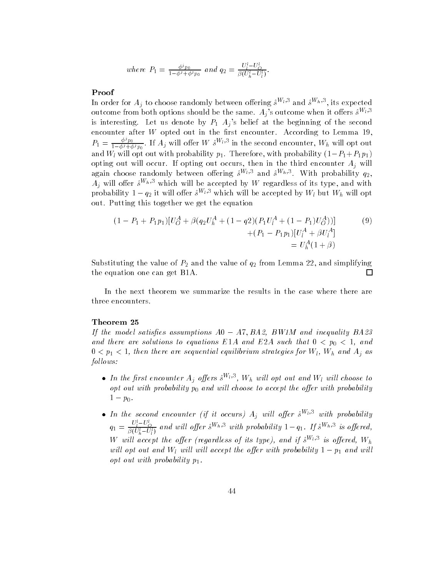where 
$$
P_1 = \frac{\phi^j p_0}{1 - \phi^j + \phi^j p_0}
$$
 and  $q_2 = \frac{U_l^1 - U_O^1}{\beta (U_h^1 - U_l^1)}$ .

# Proof

In order for  $A_j$  to choose randomly between offering  $s^{\vee n}$  and  $s^{\vee n+1}$ , its expected outcome from both options should be the same.  $A_j$  s outcome when it offers  $s^{\dots}$ is interesting. Let us denote by  $P_1$   $A_j$ 's belief at the beginning of the second encounter after  $W$  opted out in the first encounter. According to Lemma 19,  $P_1 = \frac{\psi^2 p_0}{1 - \phi^j + \phi^j p_0}$ . If  $A_j$  will offer W  $\hat{s}^{W_l,3}$  in the second encounter,  $W_h$  will opt out and  $W_l$  will opt out with probability  $p_1$ . Therefore, with probability  $(1-P_1+P_1p_1)$  $\mathbf{r}$  then in the third contribution is a set of the third encounter Aj will be the third encounter Aj will be the third encounter  $\mathbf{r}$ again choose randomly between onering  $s^{n(r)}$  and  $s^{n(r)}$ . With probability  $q_2$ ,  $A_j$  will oner  $s^{1/n}$ . Which will be accepted by W regardless of its type, and with probability  $1-q_2$  it will offer  $\hat{s}^{W_l,3}$  which will be accepted by  $W_l$  but  $W_h$  will opt out. Putting this together we get the equation

$$
(1 - P_1 + P_1 p_1) [U_0^A + \beta (q_2 U_h^A + (1 - q_2)(P_1 U_l^A + (1 - P_1) U_0^A))] + (P_1 - P_1 p_1) [U_l^A + \beta U_l^A] = U_h^A (1 + \beta)
$$
\n(9)

substituting the value of P-mail the value of  $q$ -mail communities, which were parallely  $\sim$ the equation one can get  $B1A$ . П

In the next theorem we summarize the results in the case where there are three encounters

#### Theorem

If the model satisfies assumptions  $A0 - A7$ ,  $BA$ ,  $BWM$  and inequality  $BA$ ,  $23$ and there are solutions to equations EA and EA and EA such that  $\mathfrak{g} \rightarrow \mathfrak{g} \mathfrak{g} \rightarrow \mathfrak{m}$  $0 < p_1 < 1$ , then there are sequential equilibrium strategies for  $W_l$ ,  $W_h$  and  $A_j$  as follows:

- In the first encounter  $A_i$  offers  $\hat{s}^{W_l,3}$ ,  $W_h$  will opt out and  $W_l$  will choose to opt out with probability probability probability probability probability probability probability probability p  $1-p_0$ .
- In the second encounter  $\{ij\}$  it occurs)  $A_j$  with offer  $s^{n+1}$  with probability  $q_1 = \frac{U_i - U_{\odot}}{2(1)!} a$  $\frac{U_l-O}{\beta(U_h^l-U_l^l)}$  and will offer  $\hat{s}^{W_h,3}$  with probability  $1-q_1$ . If  $\hat{s}^{W_h,3}$  is offered, W will accept the offer (regardless of its type), and if  $s^{n+1}$  is offered,  $W_h$ will opt out and  $W_l$  will will accept the offer with probability  $1 - p_1$  and will opt out with probability  $p_1$ .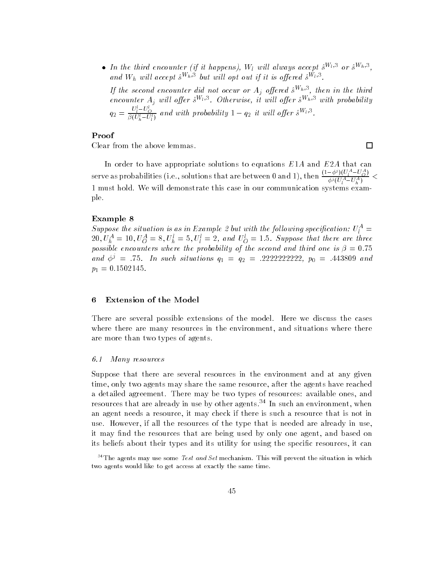In the third encounter  $\{y \mid u \text{ happens}\}$ ,  $W_l$  will always accept substance  $\sigma$  substance. and  $W_h$  will accept s with but will opt out if it is offered substitution.

If the second encounter ata not occur or  $A_j$  offered singly, then in the third encounter  $A_i$  will offer substituted conterwise, it will offer substant probability  $q_2 = \frac{U_l - U_O}{\sqrt{U_l} U_l + U_l} a$  $\frac{U_l - U_O}{\beta(U_h^l - U_l^l)}$  and with probability  $1 - q_2$  it will offer  $\hat{s}^{W_l,3}$ .

# Proof

Clear from the above lemmas

In order to have appropriate solutions to equations  $E1A$  and  $E2A$  that can serve as probabilities (i.e., solutions that are between 0 and 1), then  $\frac{(1-\omega)^2((U_1^2-U_2^2)-U_3^2)}{2\omega A - X^2}$  $\phi^j(U_l^A-U_h^A)$  $\iota$  must hold will demonstrate this case in our communication systems in our communication systems examined the co ple

# Example

Suppose the situation is as in Example 2 but with the following specification:  $U_l^+ =$  $20, U_h = 10, U_O = 8, U_h = 9, U_l = 2,$  and  $U_O = 1.5$ . Suppose that there are three possible encounters where the probability of the second and third one is " ana  $\varphi$  = .10. In such situations  $q_1 = q_2 = .2222222222, p_0 = .445809$  and p " -

# Extension of the Model

There are several possible extensions of the model Here we discuss the cases where the environment-there are many resources in the environment-there is the environment-there there there t are more than two types of agents

#### 6.1 Many resources

Suppose that there are several resources in the environment and at any given time- only two agents may share the same resource- after the agents have reached a detailed agreement There may be two types of resources available ones- available on resources that are already in use by other agents." In such an environment, when an agent needs a resource-that if there is such a resource-that if there is no take it there is no take it that is no use However- if all the resources of the type that is needed are already in useit may not the resources that are being used by one, when  $\alpha$  and being and by its beliefs about the species and its uncertainty for using the species  $\mathbf{r}$  resources-species-species-species-species-species-species-species-species-species-species-species-species-species-species-species-species-sp

 $\Box$ 

 $34$ The agents may use some Test and Set mechanism. This will prevent the situation in which two agents would like to get access at exactly the same time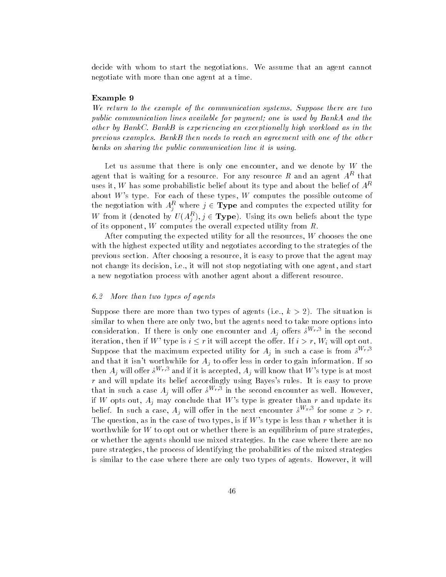decide with whom to start the negotiations. We assume that an agent cannot negotiate with more than one agent at a time

#### Example

We return to the example of the communication systems. Suppose there are two public communication lines available for payment; one is used by BankA and the other by BankC. BankB is experiencing an exceptionally high workload as in the previous examples. BankB then needs to reach an agreement with one of the other banks on sharing the public communication line it is using

 $\mathbf{L}$ agent that is waiting for a resource. For any resource  $R$  and an agent  $A^{\pm}$  that uses it,  $W$  has some probabilistic belief about its type and about the belief of  $A$ about Ws type For each of these types- we computer the possible outcome of the negotiation with  $A_i^R$  where  $j \in \textbf{Type}$  and computes the expected utility for W from it (denoted by  $U(A_i^R), j \in \textbf{Type}$ ). Using its own beliefs about the type of its opponent-term in the overall expected utility from Research and Research in the overall expected utility from Research 2007. The overall expected utility from Research 2007 and Research 2007 and Research 2007 and Re

After computing the expected utility for all the resources- W chooses the one with the highest expected utility and negotiates according to the strategies of the previous section After choosing a resource- it is easy to prove that the agent may it change it with a change it will not stop with with  $\alpha$  and  $\alpha$  and  $\alpha$  and  $\alpha$  and  $\alpha$ a new negotiation process with another agent about a di erent resource

#### 6.2 More than two types of agents

Suppose there are more than two types of agents ie- k The situation is similar to when there are only two- but the agents need to take more options into consideration. If there is only one encounter and  $A_j$  oners  $s^{\dots}$  in the second iteration, then if W' type is  $i \leq r$  it will accept the offer. If  $i > r$ ,  $W_i$  will opt out. Suppose that the maximum expected utility for  $A_i$  in such a case is from  $\hat{s}^{W_r,3}$ and that it is not it is continued to a form it is an all to gain information in the source  $\sim$ then  $A_j$  will oner  $s^{\cdots}$  and if it is accepted,  $A_j$  will know that  $W$  is type is at most  $r$  and will update its belief accordingly using Bayes's rules. It is easy to prove that in such a case  $A_j$  will oner  $s^{***}$  in the second encounter as well. However, if W opts out- Aj may conclude that Ws type is greater than <sup>r</sup> and update its belief. In such a case,  $A_j$  will oner in the next encounter  $s^{n+1}$  for some  $x > r$ . the question-partners and the case of the case of the case is if  $\mu$  is the case of the case of the case of the worthwhile for  $W$  to opt out or whether there is an equilibrium of pure strategies, or whether the agents should use mixed strategies In the case where there are no pure strategies, the probabilities of the mixed the probabilities of the mixed strategies of is similar to the case where there are only two types of agents However- it will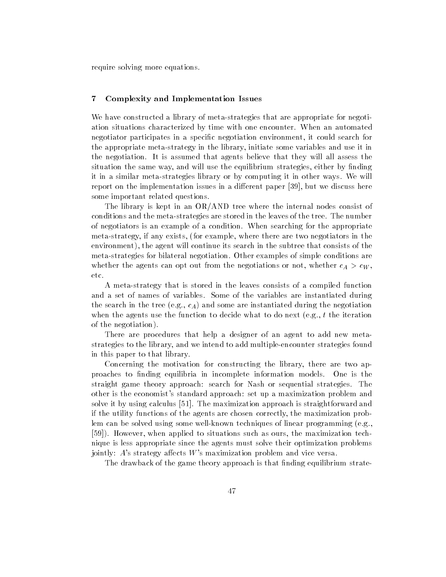require solving more equations

### Complexity and Implementation Issues

We have constructed a library of meta-strategies that are appropriate for negotiation situations characterized by time with one encounter When an automated negotiator participates in a specic negotiation environment- it could search for the appropriate metastrategy in the library- initiate some variables and use it in the negotiation It is assumed that agents believe that they will all assess the situation the same way- and will use the equilibrium strategies- either by nding it in a similar meta-strategies library or by computing it in other ways. We will report on the implementation issues in a discussion in paper of  $\mathbb{R}^n$  , in the case of the second some important related questions

The library is kept in an  $OR/AND$  tree where the internal nodes consist of conditions and the meta-strategies are stored in the leaves of the tree. The number of negotiators is an example of a condition When searching for the appropriate metastrategy- if any exists- for example- where there are two negotiators in the environment-the property will continue the subtree that continue its search is search in the const meta-strategies for bilateral negotiation. Other examples of simple conditions are where the agents can optimize  $\alpha$  or not-can optimize  $\alpha$  or  $\alpha$  and  $\alpha$  if  $\alpha$ etc

A metastrategy that is stored in the leaves consists of a compiled function and a set of names of variables Some of the variables are instantiated during the search in the tree equal the some some are instantiated during the negotiation. when the agents use the function to do next equal to do next equal to do next equal to do next egof the negotiation

There are procedures that help a designer of an agent to add new meta strategies to the multipleed multiplees and we intend to additional the strategies found to and the in this paper to that library

Concerning the motivation for constructing the library- there are two ap proaches to finding equilibria in incomplete information models. One is the straight game theory approach: search for Nash or sequential strategies. The other is the economist's standard approach: set up a maximization problem and solve it by using calculus [51]. The maximization approach is straightforward and if the utility functions of the agents are chosen correctly- the maximization prob lem can be solved using some well-known techniques of linear programming  $(e.g.,)$ is all the maximizations such as our such as oursers as oursers as oursers assumed that the maximization techn nique is less appropriate since the agents must solve their optimization problems jointly As strategy a ects Ws maximization problem and vice versa

The drawback of the game theory approach is that finding equilibrium strate-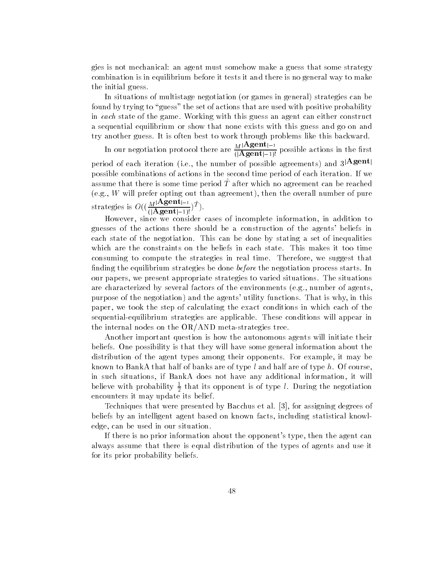gies is not mechanical: an agent must somehow make a guess that some strategy combination is in equilibrium before it tests it and there is no general way to make the initial guess

In situations of multistage negotiation (or games in general) strategies can be found by trying to "guess" the set of actions that are used with positive probability in each state of the game. Working with this guess an agent can either construct a sequential equilibrium or show that none exists with this guess and go on and try another guess It is often best to work through problems like this backward

In our negotiation protocol there are  $\frac{M}{4}$  generalized by  $(|{\bf A} \text{gent}| - 1)|^{-1}$ period of each iteration (i.e., the number of possible agreements) and 5------possible combinations of actions in the second time period of each iteration If we assume that there is some time period  $T$  after which no agreement can be reached  $\tau$ eget is the prefer option and the overall number of the overall number of pure overall number of  $\mathbb{R}^n$ strategies is  $O((\frac{M}{A})^2)$  $\frac{m}{\left(\left|\mathbf{Agent}\right|-\left|\mathbf{1}\right|\right)^{T}}\right)$ .

However- since we consider cases of incomplete information- in addition to guesses of the actions there should be a construction of the agents' beliefs in each state of the negotiation. This can be done by stating a set of inequalities which are the constraints on the beliefs in each state This makes it too time consuming to compute the strategies in real time Thereforefinding the equilibrium strategies be done *before* the negotiation process starts. In our papers, we present appropriate strategies to varied situations The situations The situations The situation are characterized by several factors of the environments equal factors of the environments of  $\alpha$ purpose of the negotiation and the agents utility functions That is why- in this papers, we to step of calculating the step of calculating the conditions in which each of the conditions in whi sequentialequilibrium strategies are applicable These conditions will appear in the internal nodes on the  $OR/AND$  meta-strategies tree.

Another important question is how the autonomous agents will initiate their beliefs One possibility is that they will have some general information about the distribution of the agent types among their opponents For example- it may be known to BankA that half of banks are of type l and half are of type h. Of course. in such situations- in Banka does not have any additional information-  $\mathcal{L}_{\mathcal{A}}$ believe with probability  $\frac{1}{2}$  that its opponent is of type *t*. During the negotiation encounters in many up may us a limit of the set

Techniques that were presented by Bacchus et al. (1, and 1, and 1, and 1, and 1, and 1, and 1, and 1, and 1, and 1, and 1, and 1, and 1, and 1, and 1, and 1, and 1, and 1, and 1, and 1, and 1, and 1, and 1, and 1, and 1, beliefs by an intelligent agent based on known facts- including statistical knowl edge-bested in our situation in our situations.

If there is no prior information about the opponents type- then the agent can always assume that there is equal distribution of the types of agents and use it for its prior probability beliefs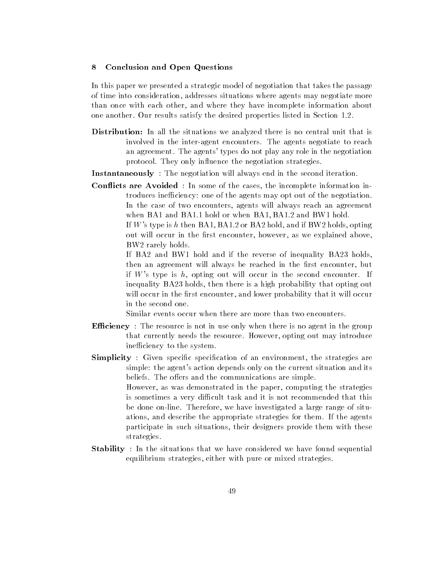# Conclusion and Open Questions

In this paper we presented a strategic model of negotiation that takes the passage of time into consideration- addresses situation- and time and  $\pi$  and  $\pi$  are  $\pi$  into  $\pi$ than once with each other- and where they have incomplete information about one another. Our results satisfy the desired properties listed in Section 1.2.

- **Distribution:** In all the situations we analyzed there is no central unit that is involved in the inter-agent encounters. The agents negotiate to reach an agreement. The agents' types do not play any role in the negotiation protocol. They only influence the negotiation strategies.
- **Instantaneously** : The negotiation will always end in the second iteration.

Con-icts are Avoided In some of the cases- the incomplete information in troduces inefficiency: one of the agents may opt out of the negotiation. In the case of two encounters-definition  $\mathcal{U}$ when BA1 and BA1.1 hold or when BA1, BA1.2 and BW1 hold.

> If Ws type is h then BA BA or BA hold- and if BW holds- opting out will occur in the rst encounter-term in the rst encounter-term in the rst encounter-term in the rst encoun BW<sub>2</sub> rarely holds.

> If  $BA2$  and  $BW1$  hold and if the reverse of inequality  $BA23$  holds. then agreement will always be reached in the rst encounter-the rst encounter-the rst encounter-the rst encounterif we have in the second out will also also in the second encounter If the second out of the second encounter inequality Bath probability that is a high probability that opting out that  $\alpha$ will occur in the rst encounter-that it will occur in the rst encounter-that it will occur probability that it in the second one

Similar events occur when there are more than two encounters.

- **Efficiency** : The resource is not in use only when there is no agent in the group that currently needs the resource However-Control is the present out out the second control of the control of inefficiency to the system.
- simplicity and strategies specificity in the strategies are strategies and the strategies are strategies are s simple: the agent's action depends only on the current situation and its beliefs The order the communications are simple the communications are simple to the communications of the communications of the communications of the communications of the communications of the communications of the commu

However- as was demonstrated in the paper- computing the strategies is sometimes a very difficult task and it is not recommended that this be done on mars interestigated and the compact of situation of situation of situation of situation of situatio ations-describe the appropriate strategies for the agents-described for the agents for the agents for the agen participate in such situations-them with the situations-provided them with the situation strategies

Stability: In the situations that we have considered we have found sequential equilibrium strategies, comment with pure or mixed strategies.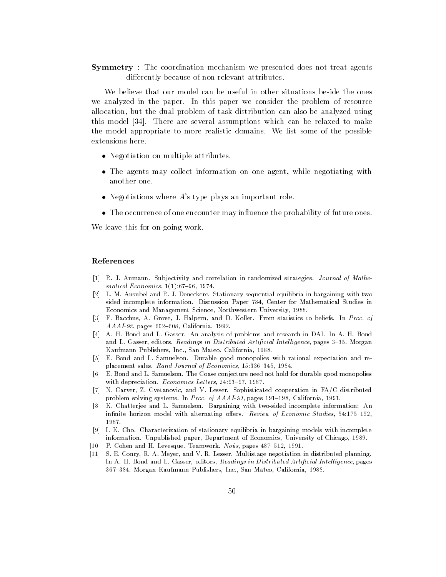Symmetry : The coordination mechanism we presented does not treat agents adie erently because of non-executives of the contract of the second

We believe that our model can be useful in other situations beside the ones we analyzed in the paper In this paper we consider the problem of resource allocation-dual problem of task distribution-dual problem of task distribution can also be analyzed using the this model [34]. There are several assumptions which can be relaxed to make the model appropriate to more realistic domains We list some of the possible extensions here

- Negotiation on multiple attributes
- The agents may collect information on one agent- while negotiating with another one
- Negotiations where As type plays an important role
- The occurrence of one encounter may inuence the probability of future ones

We leave this for on-going work.

#### References

- [1] R. J. Aumann. Subjectivity and correlation in randomized strategies. Journal of Mathematical Economics,  $1(1):67-96$ , 1974.
- L M Ausubel and R J Deneckere Stationary sequential equilibria in bargaining with two sided incomplete information. Discussion Paper 784, Center for Mathematical Studies in Economics and Management Science, Northwestern University, 1988.
- F Bacchus A Grove J Halpern and D Koller From statistics to beliefs In Proc- of  $\mathcal{A}$  and a californial particle in the californial pages of the californial pages of the californial pages of the californial pages of the californial pages of the californial pages of the californial pages of the cal
- [4] A. H. Bond and L. Gasser. An analysis of problems and research in DAI. In A. H. Bond and L. Gasser, editors, Readings in Distributed Artificial Intelligence, pages 3-35. Morgan Kaufmann Publishers, Inc., San Mateo, California, 1988.
- E Bond and L Samuelson Durable good monopolies with rational expectation and re placement sales. Rand Journal of Economics, 15:336-345, 1984.
- [6] E. Bond and L. Samuelson. The Coase conjecture need not hold for durable good monopolies with depreciation Economics Letters Letters Letters Letters Letters Letters Letters Letters Letters Letters Le
- N Carver Z Cvetanovic and V Lesser Sophisticated cooperation in FAC distributed problem solving systems In Proc- of AAAI pages California
- [8] K. Chatterjee and L. Samuelson. Bargaining with two-sided incomplete information: An infinite horizon model with alternating offers. Review of Economic Studies,  $54:175-192$ . 1987.
- I K Cho Characterization of stationary equilibria in bargaining models with incomplete information. Unpublished paper, Department of Economics, University of Chicago, 1989.
- proposed and H Leves and H Leves and H Leves and H Leves pages and the Leves of the Leves of the Leves of the
- [11] S. E. Conry, R. A. Meyer, and V. R. Lesser. Multistage negotiation in distributed planning. In A. H. Bond and L. Gasser, editors, Readings in Distributed Artificial Intelligence, pages 367-384. Morgan Kaufmann Publishers, Inc., San Mateo, California, 1988.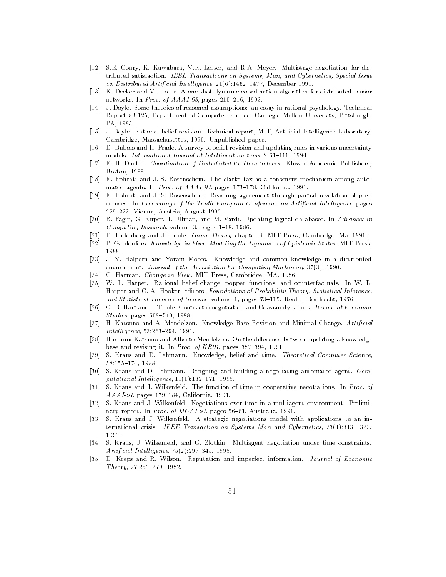- SE Conry K Kuwabara VR Lesser and RA Meyer Multistage negotiation for dis tributed satisfaction. IEEE Transactions on Systems, Man, and Cybernetics, Special Issue on Distributed Articial Intel ligence and the control of the control of the control of the control of the control of the control of the control of the control of the control of the control of the control of the control of
- [13] K. Decker and V. Lesser. A one-shot dynamic coordination algorithm for distributed sensor networks in Process In Process In Process In Process In Process In Process In Process In Process In Process In
- [14] J. Doyle. Some theories of reasoned assumptions: an essay in rational psychology. Technical Report Department of Computer Science Carnegie Mellon University Pittsburgh PA, 1983.
- [15] J. Doyle. Rational belief revision. Technical report, MIT, Artificial Intelligence Laboratory, Cambridge, Massachusettes, 1990. Unpublished paper.
- [16] D. Dubois and H. Prade. A survey of belief revision and updating rules in various uncertainty models. International Journal of Intelligent Systems, 9:61-100, 1994.
- [17] E. H. Durfee. Coordination of Distributed Problem Solvers. Kluwer Academic Publishers, Boston, 1988.
- [18] E. Ephrati and J. S. Rosenschein. The clarke tax as a consensus mechanism among automated agents in Process of Alexandra and Pages Process Processes and Processes
- [19] E. Ephrati and J. S. Rosenschein. Reaching agreement through partial revelation of preferences. In Proceedings of the Tenth European Conference on Artificial Intelligence, pages es en avenado este austria austria a
- R Fagin G Kuper J Ullman and M Vardi Updating logical databases In Advances in Computing Research, volume  $3$ , pages  $1-18$ , 1986.
- $\lceil 21 \rceil$ D. Fudenberg and J. Tirole. Game Theory, chapter 8. MIT Press, Cambridge, Ma, 1991.
- part are modeling the Dynamics Compared in France and Dynamics of Epistemics of Epistemic States Mitted in the 1988.
- J Y Halpern and Yoram Moses Knowledge and common knowledge in a distributed environment. Journal of the Association for Computing Machinery,  $37(3)$ , 1990.
- G Harman Change in View MIT Press Cambridge MA
- was also the exterpt for the change change popper functions and counterfactuals in The Counterfactuals In The Harper and C. A. Hooker, editors, Foundations of Probability Theory, Statistical Inference, and Statistical Theories of Science, volume 1, pages 73-115. Reidel, Dordrecht, 1976.
- $\lceil 26 \rceil$ O. D. Hart and J. Tirole. Contract renegotiation and Coasian dynamics. Review of Economic  $Studies$ , pages  $509-540$ , 1988.
- $\lceil 27 \rceil$ H. Katsuno and A. Mendelzon. Knowledge Base Revision and Minimal Change. Artificial Intel ligence
- Hirofumi Katsuno and Alberto Mendelzon On the dierence between updating a knowledge base and revising it In Proc- of KR pages
- $\lceil 29 \rceil$ S. Kraus and D. Lehmann. Knowledge, belief and time. Theoretical Computer Science,  $58:155 - 174, 1988.$
- [30] S. Kraus and D. Lehmann. Designing and building a negotiating automated agent. Computational Intel ligence
- is a cooperation to the function of time in contraction of time in the function  $\mathbf{A}_i$  and  $\mathbf{A}_i$  and  $\mathbf{A}_i$  $A A A I 91$ , pages 179-184, California, 1991.
- S Kraus and J Wilkenfeld Negotiations over time in a multiagent environment Prelimi nary report In Proc- of IJCAI pages  Australia
- [33] S. Kraus and J. Wilkenfeld. A strategic negotiations model with applications to an international crisis IEEE Transaction on Systems Man and Cybernetics 1993.
- [34] S. Kraus, J. Wilkenfeld, and G. Zlotkin. Multiagent negotiation under time constraints. Articial Intel ligence
- [35] D. Kreps and R. Wilson. Reputation and imperfect information. Journal of Economic Theory Theory Theory Theory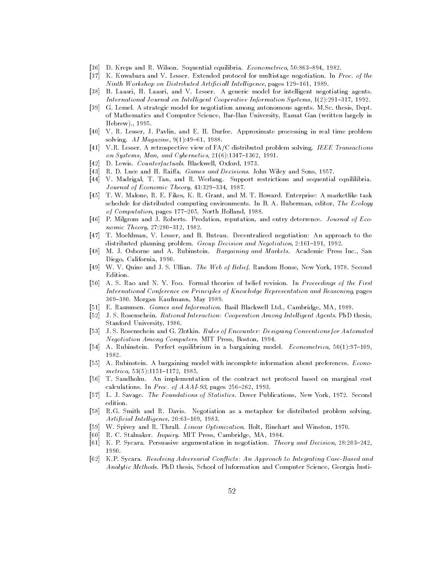- D Kreps and R Wilson Sequential equilibria Econometrica
- K Kuwabara and V Lesser Extended protocol for multistage negotiation In Proc- of the Ninth Workshop on Distributed Articial l Intel ligence pages
- [38] B. Laasri, H. Laasri, and V. Lesser. A generic model for intelligent negotiating agents. International Journal on Intel ligent Cooperative Information Systems
- [39] G. Lemel. A strategic model for negotiation among autonomous agents. M.Sc. thesis, Dept. of Mathematics and Computer Science, Bar-Ilan University, Ramat Gan (written largely in Hebrew)., 1995.
- [40] V. R. Lesser, J. Pavlin, and E. H. Durfee. Approximate processing in real time problem solving. AI Magazine,  $9(1):49-61$ , 1988.
- [41] V.R. Lesser. A retrospective view of FA/C distributed problem solving. IEEE Transactions on systems, word, when a georgetical orientation order or and
- D Lewis Counterfactuals Blackwell Oxford
- [43] R. D. Luce and H. Raiffa. Games and Decisions. John Wiley and Sons, 1957.
- [44] V. Madrigal, T. Tan, and R. Werlang. Support restrictions and sequential equililibria. Journal of Economic Theory
- [45] T. W. Malone, R. E. Fikes, K. R. Grant, and M. T. Howard. Enterprise: A marketlike task schedule for distributed computing environments. In B. A. Huberman, editor, The Ecology of computation pages to contract the measurement of the
- [46] P. Milgrom and J. Roberts. Predation, reputation, and entry deterrence. Journal of Economic Theory Theory Theory Theory
- [47] T. Moehlman, V. Lesser, and B. Buteau. Decentralized negotiation: An approach to the distributed planning problem Group Decision and Negotiation
- [48] M. J. Osborne and A. Rubinstein. Bargaining and Markets. Academic Press Inc., San Diego, California, 1990.
- [49] W. V. Quine and J. S. Ullian. The Web of Belief. Random House, New York, 1978. Second Edition.
- [50] A. S. Rao and N. Y. Foo. Formal theories of belief revision. In Proceedings of the First International Conference on Principles of Knowledge Representation and Reasoning, pages 369-380. Morgan Kaufmann, May 1989.
- [51] E. Rasmusen. Games and Information. Basil Blackwell Ltd., Cambridge, MA, 1989.
- is also are alternatively and interactional interactions are the cooperation and intelligent and these phononi Stanford University, 1986.
- J S Rosenschein and G Zlotkin Rules of Encounter Designing Conventions for Automated Negotiation Among Computers. MIT Press, Boston, 1994.
- [54] A. Rubinstein. Perfect equilibrium in a bargaining model. Econometrica,  $50(1):97-109$ ,
- [55] A. Rubinstein. A bargaining model with incomplete information about preferences. Econometrical experience are experience
- [56] T. Sandholm. An implementation of the contract net protocol based on marginal cost calculations in Process In Province Process In Process In Process In Process In Process In Process In Process I
- La J Savan Statistics Douglas Douglas Douglas International Publications New York Publications New York New York Publication edition.
- [58] R.G. Smith and R. Davis. Negotiation as a metaphor for distributed problem solving. Articial Intel ligence
- W. Spivey and R. Thrall. Linear Optimization. Holt, Rinehart and Winston, 1970.  $59$
- [60] R. C. Stalnaker. *Inquiry*. MIT Press, Cambridge, MA, 1984.
- K P Sycara Persuasive argumentation in negotiation Theory and Decision 1990.
- re, anno regenerarial contents and an approach to Integrating CaseBased and CaseBased and CaseBased and CaseBa Analytic Methods. PhD thesis, School of Information and Computer Science, Georgia Insti-